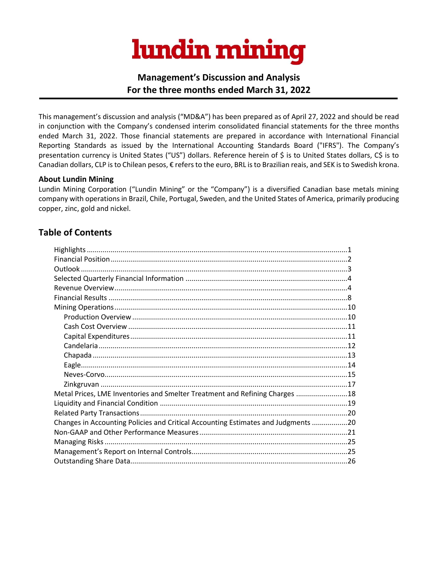# lundin mining

# **Management's Discussion and Analysis For the three months ended March 31, 2022**

This management's discussion and analysis ("MD&A") has been prepared as of April 27, 2022 and should be read in conjunction with the Company's condensed interim consolidated financial statements for the three months ended March 31, 2022. Those financial statements are prepared in accordance with International Financial Reporting Standards as issued by the International Accounting Standards Board ("IFRS"). The Company's presentation currency is United States ("US") dollars. Reference herein of \$ is to United States dollars, C\$ is to Canadian dollars, CLP is to Chilean pesos, € refers to the euro, BRL is to Brazilian reais, and SEK is to Swedish krona.

#### **About Lundin Mining**

Lundin Mining Corporation ("Lundin Mining" or the "Company") is a diversified Canadian base metals mining company with operations in Brazil, Chile, Portugal, Sweden, and the United States of America, primarily producing copper, zinc, gold and nickel.

# **Table of Contents**

| Metal Prices, LME Inventories and Smelter Treatment and Refining Charges 18       |  |
|-----------------------------------------------------------------------------------|--|
|                                                                                   |  |
|                                                                                   |  |
| Changes in Accounting Policies and Critical Accounting Estimates and Judgments 20 |  |
|                                                                                   |  |
|                                                                                   |  |
|                                                                                   |  |
|                                                                                   |  |
|                                                                                   |  |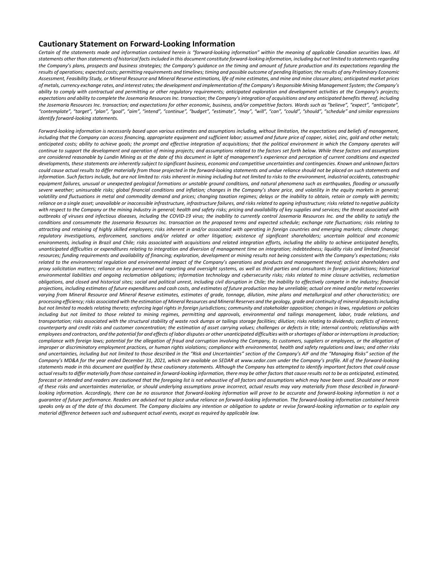#### **Cautionary Statement on Forward-Looking Information**

Certain of the statements made and information contained herein is "forward-looking information" within the meaning of applicable Canadian securities laws. All statements other than statements of historical facts included in this document constitute forward-looking information, including but not limited to statements regarding the Company's plans, prospects and business strategies; the Company's guidance on the timing and amount of future production and its expectations regarding the results of operations; expected costs; permitting requirements and timelines; timing and possible outcome of pending litigation; the results of any Preliminary Economic Assessment, Feasibility Study, or Mineral Resource and Mineral Reserve estimations, life of mine estimates, and mine and mine closure plans; anticipated market prices of metals, currency exchange rates, and interest rates; the development and implementation of the Company's Responsible Mining Management System; the Company's ability to comply with contractual and permitting or other regulatory requirements; anticipated exploration and development activities at the Company's projects; expectations and ability to complete the Josemaria Resources Inc. transaction; the Company's integration of acquisitions and any anticipated benefits thereof, including the Josemaria Resources Inc. transaction; and expectations for other economic, business, and/or competitive factors. Words such as "believe", "expect", "anticipate", "contemplate", "target", "plan", "qoal", "aim", "intend", "continue", "budget", "estimate", "may", "will", "can", "could", "should", "schedule" and similar expressions *identify forward-looking statements.*

Forward-lookina information is necessarily based upon various estimates and assumptions includina, without limitation, the expectations and beliefs of management, including that the Company can access financing, appropriate equipment and sufficient labor; assumed and future price of copper, nickel, zinc, gold and other metals; anticipated costs; ability to achieve goals; the prompt and effective integration of acquisitions; that the political environment in which the Company operates will continue to support the development and operation of mining projects; and assumptions related to the factors set forth below. While these factors and assumptions are considered reasonable by Lundin Mining as at the date of this document in light of management's experience and perception of current conditions and expected developments, these statements are inherently subject to significant business, economic and competitive uncertainties and contingencies. Known and unknown factors could cause actual results to differ materially from those projected in the forward-looking statements and undue reliance should not be placed on such statements and information. Such factors include, but are not limited to: risks inherent in mining including but not limited to risks to the environment, industrial accidents, catastrophic equipment failures, unusual or unexpected geological formations or unstable ground conditions, and natural phenomena such as earthquakes, flooding or unusually severe weather; uninsurable risks; global financial conditions and inflation; changes in the Company's share price, and volatility in the equity markets in general; volatility and fluctuations in metal and commodity demand and prices; changing taxation regimes; delays or the inability to obtain, retain or comply with permits; reliance on a single asset; unavailable or inaccessible infrastructure, infrastructure failures, and risks related to ageing infrastructure; risks related to negative publicity with respect to the Company or the mining industry in general; health and safety risks; pricing and availability of key supplies and services; the threat associated with outbreaks of viruses and infectious diseases, including the COVID-19 virus; the inability to currently control Josemaria Resources Inc. and the ability to satisfy the conditions and consummate the Josemaria Resources Inc. transaction on the proposed terms and expected schedule; exchange rate fluctuations; risks relating to attracting and retaining of highly skilled employees; risks inherent in and/or associated with operating in foreign countries and emerging markets; climate change; regulatory investigations, enforcement, sanctions and/or related or other litigation; existence of significant shareholders; uncertain political and economic environments, including in Brazil and Chile; risks associated with acquisitions and related integration efforts, including the ability to achieve anticipated benefits, unanticipated difficulties or expenditures relating to integration and diversion of management time on integration; indebtedness; liquidity risks and limited financial resources: funding requirements and availability of financing: exploration, development or mining results not being consistent with the Company's expectations: risks related to the environmental regulation and environmental impact of the Company's operations and products and management thereof; activist shareholders and proxy solicitation matters; reliance on key personnel and reporting and oversight systems, as well as third parties and consultants in foreign jurisdictions; historical environmental liabilities and ongoing reclamation obligations; information technology and cybersecurity risks; risks related to mine closure activities, reclamation obligations, and closed and historical sites; social and political unrest, including civil disruption in Chile; the inability to effectively compete in the industry; financial projections, including estimates of future expenditures and cash costs, and estimates of future production may be unreliable; actual ore mined and/or metal recoveries varying from Mineral Resource and Mineral Reserve estimates, estimates of grade, tonnage, dilution, mine plans and metallurgical and other characteristics; ore processing efficiency; risks associated with the estimation of Mineral Resources and Mineral Reserves and the geology, grade and continuity of mineral deposits including but not limited to models relating thereto; enforcing legal rights in foreign jurisdictions; community and stakeholder opposition; changes in laws, regulations or policies including but not limited to those related to mining regimes, permitting and approvals, environmental and tailings management, labor, trade relations, and transportation; risks associated with the structural stability of waste rock dumps or tailings storage facilities; dilution; risks relating to dividends; conflicts of interest; counterparty and credit risks and customer concentration; the estimation of asset carrying values; challenges or defects in title; internal controls; relationships with employees and contractors, and the potential for and effects of labor disputes or other unanticipated difficulties with or shortages of labor or interruptions in production; compliance with foreian laws: potential for the allegation of fraud and corruption involving the Company, its customers, suppliers or employees, or the allegation of improper or discriminatory employment practices, or human rights violations; compliance with environmental, health and safety regulations and laws; and other risks and uncertainties, including but not limited to those described in the "Risk and Uncertainties" section of the Company's AIF and the "Managing Risks" section of the Company's MD&A for the year ended December 31, 2021, which are available on SEDAR at www.sedar.com under the Company's profile. All of the forward-looking statements made in this document are aualified by these cautionary statements. Althouah the Company has attempted to identify important factors that could cause actual results to differ materially from those contained in forward-looking information, there may be other factors that cause results not to be as anticipated, estimated, forecast or intended and readers are cautioned that the foregoing list is not exhaustive of all factors and assumptions which may have been used. Should one or more of these risks and uncertainties materialize, or should underlying assumptions prove incorrect, actual results may vary materially from those described in forwardlooking information. Accordingly, there can be no assurance that forward-looking information will prove to be accurate and forward-looking information is not a guarantee of future performance. Readers are advised not to place undue reliance on forward-looking information. The forward-looking information contained herein speaks only as of the date of this document. The Company disclaims any intention or obligation to update or revise forward-looking information or to explain any *material difference between such and subsequent actual events, except as required by applicable law.*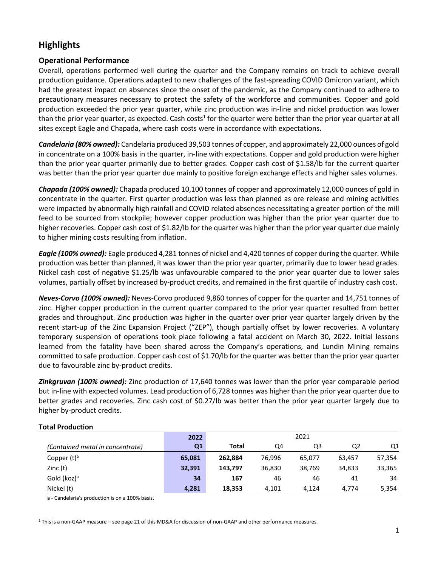# **Highlights**

## **Operational Performance**

Overall, operations performed well during the quarter and the Company remains on track to achieve overall production guidance. Operations adapted to new challenges of the fast-spreading COVID Omicron variant, which had the greatest impact on absences since the onset of the pandemic, as the Company continued to adhere to precautionary measures necessary to protect the safety of the workforce and communities. Copper and gold production exceeded the prior year quarter, while zinc production was in-line and nickel production was lower than the prior year quarter, as expected. Cash costs<sup>1</sup> for the quarter were better than the prior year quarter at all sites except Eagle and Chapada, where cash costs were in accordance with expectations.

*Candelaria (80% owned):* Candelaria produced 39,503 tonnes of copper, and approximately 22,000 ounces of gold in concentrate on a 100% basis in the quarter, in-line with expectations. Copper and gold production were higher than the prior year quarter primarily due to better grades. Copper cash cost of \$1.58/lb for the current quarter was better than the prior year quarter due mainly to positive foreign exchange effects and higher sales volumes.

*Chapada (100% owned):* Chapada produced 10,100 tonnes of copper and approximately 12,000 ounces of gold in concentrate in the quarter. First quarter production was less than planned as ore release and mining activities were impacted by abnormally high rainfall and COVID related absences necessitating a greater portion of the mill feed to be sourced from stockpile; however copper production was higher than the prior year quarter due to higher recoveries. Copper cash cost of \$1.82/lb for the quarter was higher than the prior year quarter due mainly to higher mining costs resulting from inflation.

*Eagle (100% owned):* Eagle produced 4,281 tonnes of nickel and 4,420 tonnes of copper during the quarter. While production was better than planned, it was lower than the prior year quarter, primarily due to lower head grades. Nickel cash cost of negative \$1.25/lb was unfavourable compared to the prior year quarter due to lower sales volumes, partially offset by increased by-product credits, and remained in the first quartile of industry cash cost.

*Neves-Corvo (100% owned):* Neves-Corvo produced 9,860 tonnes of copper for the quarter and 14,751 tonnes of zinc. Higher copper production in the current quarter compared to the prior year quarter resulted from better grades and throughput. Zinc production was higher in the quarter over prior year quarter largely driven by the recent start-up of the Zinc Expansion Project ("ZEP"), though partially offset by lower recoveries. A voluntary temporary suspension of operations took place following a fatal accident on March 30, 2022. Initial lessons learned from the fatality have been shared across the Company's operations, and Lundin Mining remains committed to safe production. Copper cash cost of \$1.70/lb for the quarter was better than the prior year quarter due to favourable zinc by-product credits.

*Zinkgruvan (100% owned):* Zinc production of 17,640 tonnes was lower than the prior year comparable period but in-line with expected volumes. Lead production of 6,728 tonnes was higher than the prior year quarter due to better grades and recoveries. Zinc cash cost of \$0.27/lb was better than the prior year quarter largely due to higher by-product credits.

|                                  | 2022   | 2021    |        |        |        |        |
|----------------------------------|--------|---------|--------|--------|--------|--------|
| (Contained metal in concentrate) | Q1     | Total   | Q4     | Q3     | Q2     | Q1     |
| Copper $(t)^a$                   | 65,081 | 262,884 | 76,996 | 65,077 | 63,457 | 57,354 |
| Zinc(t)                          | 32,391 | 143.797 | 36,830 | 38,769 | 34,833 | 33,365 |
| Gold (koz) <sup>a</sup>          | 34     | 167     | 46     | 46     | 41     | 34     |
| Nickel (t)                       | 4,281  | 18,353  | 4.101  | 4.124  | 4.774  | 5,354  |

#### **Total Production**

a - Candelaria's production is on a 100% basis.

 $1$  This is a non-GAAP measure – see page 21 of this MD&A for discussion of non-GAAP and other performance measures.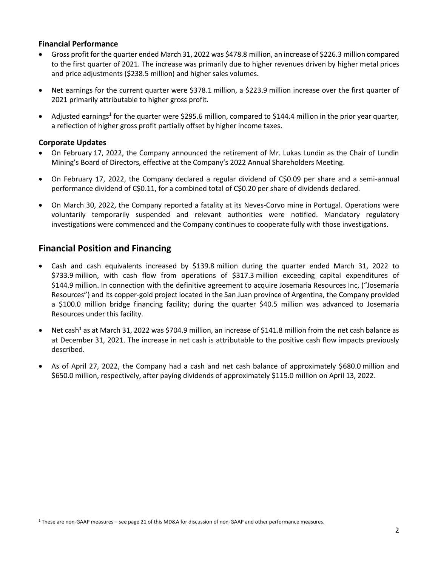#### **Financial Performance**

- Gross profit for the quarter ended March 31, 2022 was \$478.8 million, an increase of \$226.3 million compared to the first quarter of 2021. The increase was primarily due to higher revenues driven by higher metal prices and price adjustments (\$238.5 million) and higher sales volumes.
- Net earnings for the current quarter were \$378.1 million, a \$223.9 million increase over the first quarter of 2021 primarily attributable to higher gross profit.
- Adjusted earnings<sup>1</sup> for the quarter were \$295.6 million, compared to \$144.4 million in the prior year quarter, a reflection of higher gross profit partially offset by higher income taxes.

#### **Corporate Updates**

- On February 17, 2022, the Company announced the retirement of Mr. Lukas Lundin as the Chair of Lundin Mining's Board of Directors, effective at the Company's 2022 Annual Shareholders Meeting.
- On February 17, 2022, the Company declared a regular dividend of C\$0.09 per share and a semi-annual performance dividend of C\$0.11, for a combined total of C\$0.20 per share of dividends declared.
- On March 30, 2022, the Company reported a fatality at its Neves-Corvo mine in Portugal. Operations were voluntarily temporarily suspended and relevant authorities were notified. Mandatory regulatory investigations were commenced and the Company continues to cooperate fully with those investigations.

# **Financial Position and Financing**

- Cash and cash equivalents increased by \$139.8 million during the quarter ended March 31, 2022 to \$733.9 million, with cash flow from operations of \$317.3 million exceeding capital expenditures of \$144.9 million. In connection with the definitive agreement to acquire Josemaria Resources Inc, ("Josemaria Resources") and its copper-gold project located in the San Juan province of Argentina, the Company provided a \$100.0 million bridge financing facility; during the quarter \$40.5 million was advanced to Josemaria Resources under this facility.
- Net cash<sup>1</sup> as at March 31, 2022 was \$704.9 million, an increase of \$141.8 million from the net cash balance as at December 31, 2021. The increase in net cash is attributable to the positive cash flow impacts previously described.
- As of April 27, 2022, the Company had a cash and net cash balance of approximately \$680.0 million and \$650.0 million, respectively, after paying dividends of approximately \$115.0 million on April 13, 2022.

<sup>1</sup> These are non-GAAP measures – see page 21 of this MD&A for discussion of non-GAAP and other performance measures.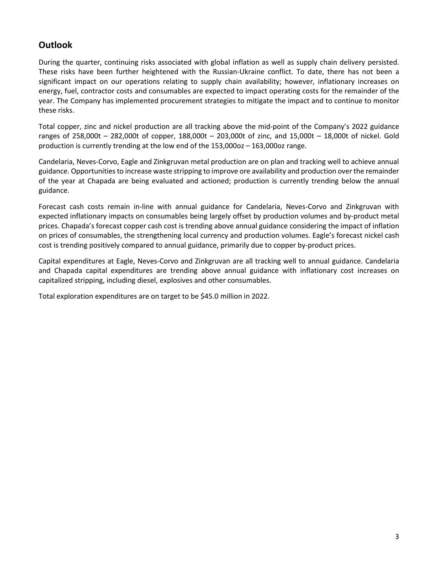# **Outlook**

During the quarter, continuing risks associated with global inflation as well as supply chain delivery persisted. These risks have been further heightened with the Russian-Ukraine conflict. To date, there has not been a significant impact on our operations relating to supply chain availability; however, inflationary increases on energy, fuel, contractor costs and consumables are expected to impact operating costs for the remainder of the year. The Company has implemented procurement strategies to mitigate the impact and to continue to monitor these risks.

Total copper, zinc and nickel production are all tracking above the mid-point of the Company's 2022 guidance ranges of 258,000t – 282,000t of copper, 188,000t – 203,000t of zinc, and 15,000t – 18,000t of nickel. Gold production is currently trending at the low end of the 153,000oz – 163,000oz range.

Candelaria, Neves-Corvo, Eagle and Zinkgruvan metal production are on plan and tracking well to achieve annual guidance. Opportunities to increase waste stripping to improve ore availability and production over the remainder of the year at Chapada are being evaluated and actioned; production is currently trending below the annual guidance.

Forecast cash costs remain in-line with annual guidance for Candelaria, Neves-Corvo and Zinkgruvan with expected inflationary impacts on consumables being largely offset by production volumes and by-product metal prices. Chapada's forecast copper cash cost is trending above annual guidance considering the impact of inflation on prices of consumables, the strengthening local currency and production volumes. Eagle's forecast nickel cash cost is trending positively compared to annual guidance, primarily due to copper by-product prices.

Capital expenditures at Eagle, Neves-Corvo and Zinkgruvan are all tracking well to annual guidance. Candelaria and Chapada capital expenditures are trending above annual guidance with inflationary cost increases on capitalized stripping, including diesel, explosives and other consumables.

Total exploration expenditures are on target to be \$45.0 million in 2022.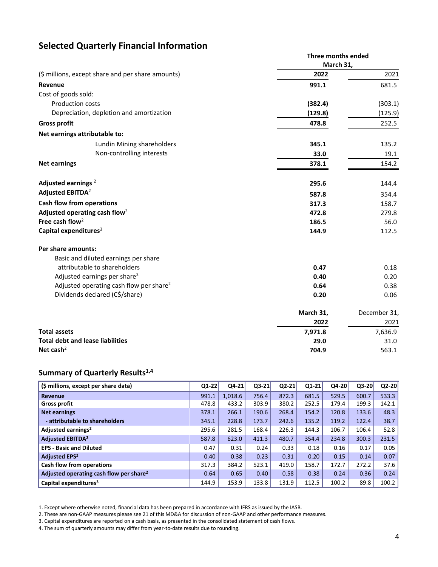# **Selected Quarterly Financial Information**

|                                                     | Three months ended<br>March 31, |              |  |
|-----------------------------------------------------|---------------------------------|--------------|--|
| (\$ millions, except share and per share amounts)   | 2022                            | 2021         |  |
| Revenue                                             | 991.1                           | 681.5        |  |
| Cost of goods sold:                                 |                                 |              |  |
| Production costs                                    | (382.4)                         | (303.1)      |  |
| Depreciation, depletion and amortization            | (129.8)                         | (125.9)      |  |
| <b>Gross profit</b>                                 | 478.8                           | 252.5        |  |
| Net earnings attributable to:                       |                                 |              |  |
| Lundin Mining shareholders                          | 345.1                           | 135.2        |  |
| Non-controlling interests                           | 33.0                            | 19.1         |  |
| <b>Net earnings</b>                                 | 378.1                           | 154.2        |  |
| Adjusted earnings <sup>2</sup>                      | 295.6                           | 144.4        |  |
| Adjusted EBITDA <sup>2</sup>                        | 587.8                           | 354.4        |  |
| <b>Cash flow from operations</b>                    | 317.3                           | 158.7        |  |
| Adjusted operating cash flow <sup>2</sup>           | 472.8                           | 279.8        |  |
| Free cash flow <sup>2</sup>                         | 186.5                           | 56.0         |  |
| Capital expenditures <sup>3</sup>                   | 144.9                           | 112.5        |  |
| Per share amounts:                                  |                                 |              |  |
| Basic and diluted earnings per share                |                                 |              |  |
| attributable to shareholders                        | 0.47                            | 0.18         |  |
| Adjusted earnings per share <sup>2</sup>            | 0.40                            | 0.20         |  |
| Adjusted operating cash flow per share <sup>2</sup> | 0.64                            | 0.38         |  |
| Dividends declared (C\$/share)                      | 0.20                            | 0.06         |  |
|                                                     | March 31,                       | December 31, |  |
|                                                     | 2022                            | 2021         |  |
| <b>Total assets</b>                                 | 7,971.8                         | 7,636.9      |  |
| <b>Total debt and lease liabilities</b>             | 29.0                            | 31.0         |  |
| Net cash <sup>2</sup>                               | 704.9                           | 563.1        |  |

# **Summary of Quarterly Results1,4**

| (\$ millions, except per share data)                | $Q1-22$ | $Q4-21$ | Q3-21 | $Q2-21$ | $Q1 - 21$ | Q4-20 | $Q3-20$ | $Q2-20$ |
|-----------------------------------------------------|---------|---------|-------|---------|-----------|-------|---------|---------|
| <b>Revenue</b>                                      | 991.1   | 1,018.6 | 756.4 | 872.3   | 681.5     | 529.5 | 600.7   | 533.3   |
| <b>Gross profit</b>                                 | 478.8   | 433.2   | 303.9 | 380.2   | 252.5     | 179.4 | 199.3   | 142.1   |
| <b>Net earnings</b>                                 | 378.1   | 266.1   | 190.6 | 268.4   | 154.2     | 120.8 | 133.6   | 48.3    |
| - attributable to shareholders                      | 345.1   | 228.8   | 173.7 | 242.6   | 135.2     | 119.2 | 122.4   | 38.7    |
| Adjusted earnings <sup>2</sup>                      | 295.6   | 281.5   | 168.4 | 226.3   | 144.3     | 106.7 | 106.4   | 52.8    |
| <b>Adjusted EBITDA<sup>2</sup></b>                  | 587.8   | 623.0   | 411.3 | 480.7   | 354.4     | 234.8 | 300.3   | 231.5   |
| <b>EPS - Basic and Diluted</b>                      | 0.47    | 0.31    | 0.24  | 0.33    | 0.18      | 0.16  | 0.17    | 0.05    |
| <b>Adjusted EPS<sup>2</sup></b>                     | 0.40    | 0.38    | 0.23  | 0.31    | 0.20      | 0.15  | 0.14    | 0.07    |
| Cash flow from operations                           | 317.3   | 384.2   | 523.1 | 419.0   | 158.7     | 172.7 | 272.2   | 37.6    |
| Adjusted operating cash flow per share <sup>2</sup> | 0.64    | 0.65    | 0.40  | 0.58    | 0.38      | 0.24  | 0.36    | 0.24    |
| Capital expenditures <sup>3</sup>                   | 144.9   | 153.9   | 133.8 | 131.9   | 112.5     | 100.2 | 89.8    | 100.2   |

1. Except where otherwise noted, financial data has been prepared in accordance with IFRS as issued by the IASB.

2. These are non-GAAP measures please see 21 of this MD&A for discussion of non-GAAP and other performance measures.

4. The sum of quarterly amounts may differ from year-to-date results due to rounding.

<sup>3.</sup> Capital expenditures are reported on a cash basis, as presented in the consolidated statement of cash flows.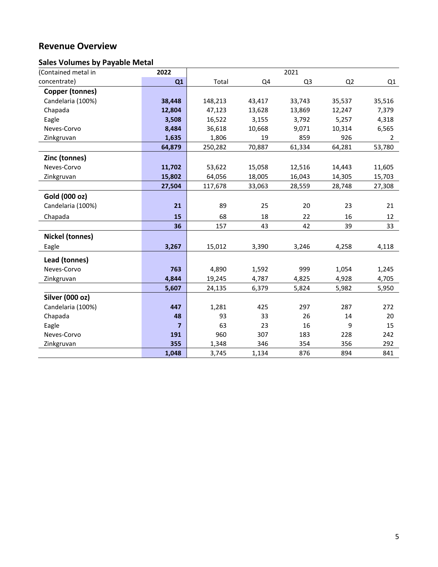# **Revenue Overview**

# **Sales Volumes by Payable Metal**

| (Contained metal in    | 2022           |         |        | 2021           |        |                |
|------------------------|----------------|---------|--------|----------------|--------|----------------|
| concentrate)           | Q1             | Total   | Q4     | Q <sub>3</sub> | Q2     | Q1             |
| <b>Copper (tonnes)</b> |                |         |        |                |        |                |
| Candelaria (100%)      | 38,448         | 148,213 | 43,417 | 33,743         | 35,537 | 35,516         |
| Chapada                | 12,804         | 47,123  | 13,628 | 13,869         | 12,247 | 7,379          |
| Eagle                  | 3,508          | 16,522  | 3,155  | 3,792          | 5,257  | 4,318          |
| Neves-Corvo            | 8,484          | 36,618  | 10,668 | 9,071          | 10,314 | 6,565          |
| Zinkgruvan             | 1,635          | 1,806   | 19     | 859            | 926    | $\overline{2}$ |
|                        | 64,879         | 250,282 | 70,887 | 61,334         | 64,281 | 53,780         |
| Zinc (tonnes)          |                |         |        |                |        |                |
| Neves-Corvo            | 11,702         | 53,622  | 15,058 | 12,516         | 14,443 | 11,605         |
| Zinkgruvan             | 15,802         | 64,056  | 18,005 | 16,043         | 14,305 | 15,703         |
|                        | 27,504         | 117,678 | 33,063 | 28,559         | 28,748 | 27,308         |
| Gold (000 oz)          |                |         |        |                |        |                |
| Candelaria (100%)      | 21             | 89      | 25     | 20             | 23     | 21             |
| Chapada                | 15             | 68      | 18     | 22             | 16     | 12             |
|                        | 36             | 157     | 43     | 42             | 39     | 33             |
| <b>Nickel (tonnes)</b> |                |         |        |                |        |                |
| Eagle                  | 3,267          | 15,012  | 3,390  | 3,246          | 4,258  | 4,118          |
| Lead (tonnes)          |                |         |        |                |        |                |
| Neves-Corvo            | 763            | 4,890   | 1,592  | 999            | 1,054  | 1,245          |
| Zinkgruvan             | 4,844          | 19,245  | 4,787  | 4,825          | 4,928  | 4,705          |
|                        | 5,607          | 24,135  | 6,379  | 5,824          | 5,982  | 5,950          |
| Silver (000 oz)        |                |         |        |                |        |                |
| Candelaria (100%)      | 447            | 1,281   | 425    | 297            | 287    | 272            |
| Chapada                | 48             | 93      | 33     | 26             | 14     | 20             |
| Eagle                  | $\overline{ }$ | 63      | 23     | 16             | 9      | 15             |
| Neves-Corvo            | 191            | 960     | 307    | 183            | 228    | 242            |
| Zinkgruvan             | 355            | 1,348   | 346    | 354            | 356    | 292            |
|                        | 1,048          | 3,745   | 1,134  | 876            | 894    | 841            |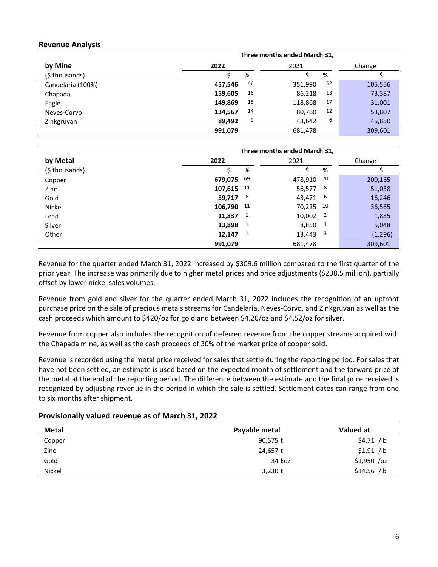#### **Revenue Analysis**

|                   | Three months ended March 31, |               |         |  |  |
|-------------------|------------------------------|---------------|---------|--|--|
| by Mine           | 2022                         | 2021          | Change  |  |  |
| (\$ thousands)    | %                            | %             |         |  |  |
| Candelaria (100%) | 46<br>457,546                | 52<br>351,990 | 105,556 |  |  |
| Chapada           | 16<br>159,605                | 13<br>86,218  | 73,387  |  |  |
| Eagle             | 15<br>149,869                | 17<br>118,868 | 31,001  |  |  |
| Neves-Corvo       | 14<br>134,567                | 12<br>80,760  | 53,807  |  |  |
| Zinkgruvan        | 9<br>89.492                  | 6<br>43,642   | 45,850  |  |  |
|                   | 991,079                      | 681,478       | 309,601 |  |  |

|               | Three months ended March 31, |    |               |          |  |
|---------------|------------------------------|----|---------------|----------|--|
| by Metal      | 2022                         |    | 2021          | Change   |  |
| (\$thousands) |                              | %  | %             |          |  |
| Copper        | 679,075                      | 69 | 70<br>478,910 | 200,165  |  |
| Zinc          | 107,615 11                   |    | 8<br>56,577   | 51,038   |  |
| Gold          | 59,717                       | 6  | 6<br>43,471   | 16,246   |  |
| Nickel        | 106,790                      | 11 | 10<br>70,225  | 36,565   |  |
| Lead          | 11,837                       | 1  | 2<br>10,002   | 1,835    |  |
| Silver        | 13,898                       | 1  | 1<br>8,850    | 5,048    |  |
| Other         | 12,147                       | 1  | 3<br>13,443   | (1, 296) |  |
|               | 991,079                      |    | 681,478       | 309,601  |  |

Revenue for the quarter ended March 31, 2022 increased by \$309.6 million compared to the first quarter of the prior year. The increase was primarily due to higher metal prices and price adjustments (\$238.5 million), partially offset by lower nickel sales volumes.

Revenue from gold and silver for the quarter ended March 31, 2022 includes the recognition of an upfront purchase price on the sale of precious metals streams for Candelaria, Neves-Corvo, and Zinkgruvan as well as the cash proceeds which amount to \$420/oz for gold and between \$4.20/oz and \$4.52/oz for silver.

Revenue from copper also includes the recognition of deferred revenue from the copper streams acquired with the Chapada mine, as well as the cash proceeds of 30% of the market price of copper sold.

Revenue is recorded using the metal price received for sales that settle during the reporting period. For sales that have not been settled, an estimate is used based on the expected month of settlement and the forward price of the metal at the end of the reporting period. The difference between the estimate and the final price received is recognized by adjusting revenue in the period in which the sale is settled. Settlement dates can range from one to six months after shipment.

#### **Provisionally valued revenue as of March 31, 2022**

| Metal  | Payable metal | Valued at    |
|--------|---------------|--------------|
| Copper | 90,575 t      | $$4.71$ /lb  |
| Zinc   | 24,657 t      | $$1.91$ /lb  |
| Gold   | 34 koz        | $$1,950$ /oz |
| Nickel | $3,230$ t     | $$14.56$ /lb |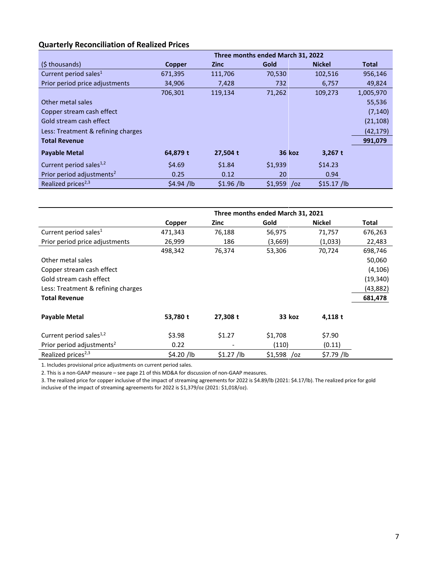# **Quarterly Reconciliation of Realized Prices**

|                                       | Three months ended March 31, 2022 |             |                        |               |              |  |
|---------------------------------------|-----------------------------------|-------------|------------------------|---------------|--------------|--|
| (\$thousands)                         | <b>Copper</b>                     | <b>Zinc</b> | Gold                   | <b>Nickel</b> | <b>Total</b> |  |
| Current period sales <sup>1</sup>     | 671,395                           | 111,706     | 70,530                 | 102,516       | 956,146      |  |
| Prior period price adjustments        | 34,906                            | 7,428       | 732                    | 6,757         | 49,824       |  |
|                                       | 706,301                           | 119,134     | 71,262                 | 109,273       | 1,005,970    |  |
| Other metal sales                     |                                   |             |                        |               | 55,536       |  |
| Copper stream cash effect             |                                   |             |                        |               | (7, 140)     |  |
| Gold stream cash effect               |                                   |             |                        |               | (21, 108)    |  |
| Less: Treatment & refining charges    |                                   |             |                        |               | (42, 179)    |  |
| <b>Total Revenue</b>                  |                                   |             |                        |               | 991,079      |  |
| <b>Payable Metal</b>                  | 64,879 t                          | 27,504 t    | 36 koz                 | $3,267$ t     |              |  |
| Current period sales <sup>1,2</sup>   | \$4.69                            | \$1.84      | \$1,939                | \$14.23       |              |  |
| Prior period adjustments <sup>2</sup> | 0.25                              | 0.12        | 20                     | 0.94          |              |  |
| Realized prices <sup>2,3</sup>        | $$4.94$ /lb                       | $$1.96$ /lb | \$1,959<br>$\sqrt{oz}$ | $$15.17$ /lb  |              |  |

|                                       | Three months ended March 31, 2021 |             |              |               |           |  |
|---------------------------------------|-----------------------------------|-------------|--------------|---------------|-----------|--|
|                                       | Copper                            | Zinc        | Gold         | <b>Nickel</b> | Total     |  |
| Current period sales <sup>1</sup>     | 471,343                           | 76,188      | 56,975       | 71,757        | 676,263   |  |
| Prior period price adjustments        | 26,999                            | 186         | (3,669)      | (1,033)       | 22,483    |  |
|                                       | 498,342                           | 76,374      | 53,306       | 70,724        | 698,746   |  |
| Other metal sales                     |                                   |             |              |               | 50,060    |  |
| Copper stream cash effect             |                                   |             |              |               | (4, 106)  |  |
| Gold stream cash effect               |                                   |             |              |               | (19, 340) |  |
| Less: Treatment & refining charges    |                                   |             |              |               | (43, 882) |  |
| <b>Total Revenue</b>                  |                                   |             |              |               | 681,478   |  |
| <b>Payable Metal</b>                  | 53,780 t                          | 27,308 t    | 33 koz       | 4,118 t       |           |  |
| Current period sales <sup>1,2</sup>   | \$3.98                            | \$1.27      | \$1,708      | \$7.90        |           |  |
| Prior period adjustments <sup>2</sup> | 0.22                              |             | (110)        | (0.11)        |           |  |
| Realized prices <sup>2,3</sup>        | \$4.20/lb                         | $$1.27$ /lb | $$1,598$ /oz | \$7.79 /lb    |           |  |

1. Includes provisional price adjustments on current period sales.

2. This is a non-GAAP measure – see page 21 of this MD&A for discussion of non-GAAP measures.

3. The realized price for copper inclusive of the impact of streaming agreements for 2022 is \$4.89/lb (2021: \$4.17/lb). The realized price for gold inclusive of the impact of streaming agreements for 2022 is \$1,379/oz (2021: \$1,018/oz).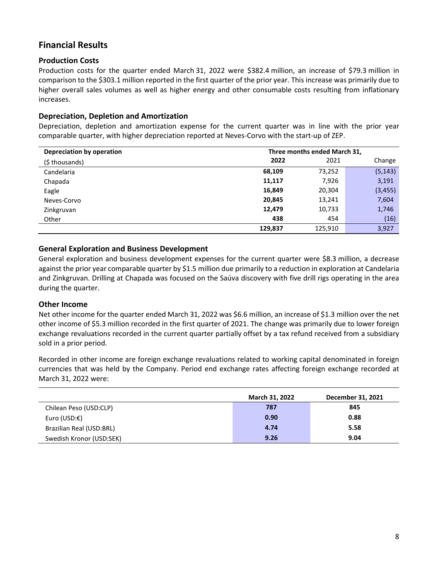# **Financial Results**

## **Production Costs**

Production costs for the quarter ended March 31, 2022 were \$382.4 million, an increase of \$79.3 million in comparison to the \$303.1 million reported in the first quarter of the prior year. This increase was primarily due to higher overall sales volumes as well as higher energy and other consumable costs resulting from inflationary increases.

## **Depreciation, Depletion and Amortization**

Depreciation, depletion and amortization expense for the current quarter was in line with the prior year comparable quarter, with higher depreciation reported at Neves-Corvo with the start-up of ZEP.

| Depreciation by operation | Three months ended March 31, |         |          |  |
|---------------------------|------------------------------|---------|----------|--|
| (\$ thousands)            | 2022                         | 2021    | Change   |  |
| Candelaria                | 68,109                       | 73,252  | (5, 143) |  |
| Chapada                   | 11,117                       | 7,926   | 3,191    |  |
| Eagle                     | 16,849                       | 20,304  | (3, 455) |  |
| Neves-Corvo               | 20,845                       | 13,241  | 7,604    |  |
| Zinkgruvan                | 12,479                       | 10,733  | 1,746    |  |
| Other                     | 438                          | 454     | (16)     |  |
|                           | 129,837                      | 125,910 | 3,927    |  |

#### **General Exploration and Business Development**

General exploration and business development expenses for the current quarter were \$8.3 million, a decrease against the prior year comparable quarter by \$1.5 million due primarily to a reduction in exploration at Candelaria and Zinkgruvan. Drilling at Chapada was focused on the Saúva discovery with five drill rigs operating in the area during the quarter.

## **Other Income**

Net other income for the quarter ended March 31, 2022 was \$6.6 million, an increase of \$1.3 million over the net other income of \$5.3 million recorded in the first quarter of 2021. The change was primarily due to lower foreign exchange revaluations recorded in the current quarter partially offset by a tax refund received from a subsidiary sold in a prior period.

Recorded in other income are foreign exchange revaluations related to working capital denominated in foreign currencies that was held by the Company. Period end exchange rates affecting foreign exchange recorded at March 31, 2022 were:

|                          | <b>March 31, 2022</b> | December 31, 2021 |
|--------------------------|-----------------------|-------------------|
| Chilean Peso (USD:CLP)   | 787                   | 845               |
| Euro (USD:€)             | 0.90                  | 0.88              |
| Brazilian Real (USD:BRL) | 4.74                  | 5.58              |
| Swedish Kronor (USD:SEK) | 9.26                  | 9.04              |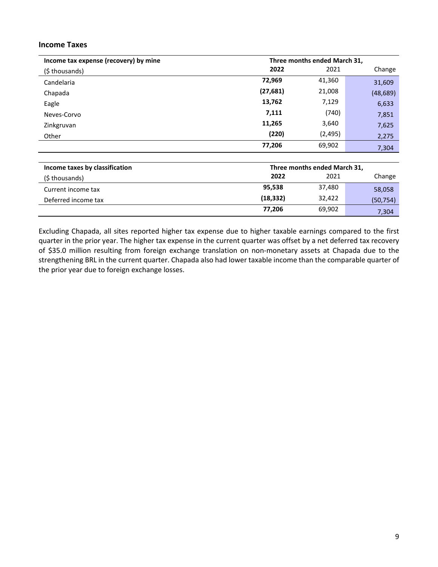#### **Income Taxes**

| Income tax expense (recovery) by mine | Three months ended March 31, |          |           |  |
|---------------------------------------|------------------------------|----------|-----------|--|
| (\$ thousands)                        | 2022                         | 2021     | Change    |  |
| Candelaria                            | 72,969                       | 41,360   | 31,609    |  |
| Chapada                               | (27, 681)                    | 21,008   | (48, 689) |  |
| Eagle                                 | 13,762                       | 7,129    | 6,633     |  |
| Neves-Corvo                           | 7,111                        | (740)    | 7,851     |  |
| Zinkgruvan                            | 11,265                       | 3,640    | 7,625     |  |
| Other                                 | (220)                        | (2, 495) | 2,275     |  |
|                                       | 77,206                       | 69,902   | 7,304     |  |

| Income taxes by classification | Three months ended March 31, |        |           |  |
|--------------------------------|------------------------------|--------|-----------|--|
| (\$ thousands)                 | 2022                         | 2021   | Change    |  |
| Current income tax             | 95,538                       | 37,480 | 58,058    |  |
| Deferred income tax            | (18, 332)                    | 32,422 | (50, 754) |  |
|                                | 77.206                       | 69,902 | 7,304     |  |

Excluding Chapada, all sites reported higher tax expense due to higher taxable earnings compared to the first quarter in the prior year. The higher tax expense in the current quarter was offset by a net deferred tax recovery of \$35.0 million resulting from foreign exchange translation on non-monetary assets at Chapada due to the strengthening BRL in the current quarter. Chapada also had lower taxable income than the comparable quarter of the prior year due to foreign exchange losses.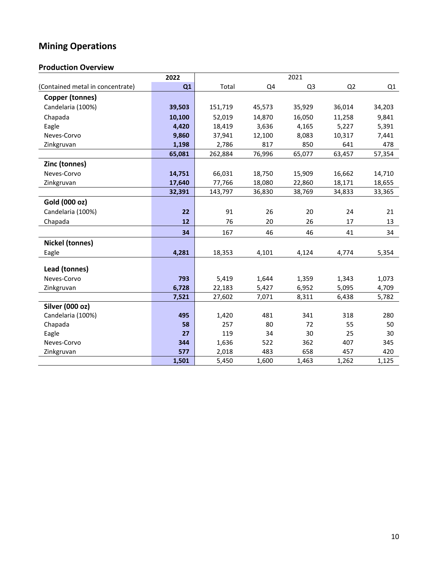# **Mining Operations**

# **Production Overview**

|                                  | 2022           | 2021             |                |                |                |                |
|----------------------------------|----------------|------------------|----------------|----------------|----------------|----------------|
| (Contained metal in concentrate) | Q1             | Total            | Q4             | Q3             | Q <sub>2</sub> | Q1             |
| <b>Copper (tonnes)</b>           |                |                  |                |                |                |                |
| Candelaria (100%)                | 39,503         | 151,719          | 45,573         | 35,929         | 36,014         | 34,203         |
| Chapada                          | 10,100         | 52,019           | 14,870         | 16,050         | 11,258         | 9,841          |
| Eagle                            | 4,420          | 18,419           | 3,636          | 4,165          | 5,227          | 5,391          |
| Neves-Corvo                      | 9,860          | 37,941           | 12,100         | 8,083          | 10,317         | 7,441          |
| Zinkgruvan                       | 1,198          | 2,786            | 817            | 850            | 641            | 478            |
|                                  | 65,081         | 262,884          | 76,996         | 65,077         | 63,457         | 57,354         |
| Zinc (tonnes)                    |                |                  |                |                |                |                |
| Neves-Corvo                      | 14,751         | 66,031           | 18,750         | 15,909         | 16,662         | 14,710         |
| Zinkgruvan                       | 17,640         | 77,766           | 18,080         | 22,860         | 18,171         | 18,655         |
|                                  | 32,391         | 143,797          | 36,830         | 38,769         | 34,833         | 33,365         |
| Gold (000 oz)                    |                |                  |                |                |                |                |
| Candelaria (100%)                | 22             | 91               | 26             | 20             | 24             | 21             |
| Chapada                          | 12             | 76               | 20             | 26             | 17             | 13             |
|                                  | 34             | 167              | 46             | 46             | 41             | 34             |
| <b>Nickel (tonnes)</b>           |                |                  |                |                |                |                |
| Eagle                            | 4,281          | 18,353           | 4,101          | 4,124          | 4,774          | 5,354          |
|                                  |                |                  |                |                |                |                |
| Lead (tonnes)                    |                |                  |                |                |                |                |
| Neves-Corvo                      | 793            | 5,419            | 1,644          | 1,359          | 1,343          | 1,073          |
| Zinkgruvan                       | 6,728<br>7,521 | 22,183<br>27,602 | 5,427<br>7,071 | 6,952<br>8,311 | 5,095<br>6,438 | 4,709<br>5,782 |
| Silver (000 oz)                  |                |                  |                |                |                |                |
| Candelaria (100%)                | 495            | 1,420            | 481            | 341            | 318            | 280            |
| Chapada                          | 58             | 257              | 80             | 72             | 55             | 50             |
| Eagle                            | 27             | 119              | 34             | 30             | 25             | 30             |
| Neves-Corvo                      | 344            | 1,636            | 522            | 362            | 407            | 345            |
| Zinkgruvan                       | 577            | 2,018            | 483            | 658            | 457            | 420            |
|                                  | 1,501          | 5,450            | 1,600          | 1,463          | 1,262          | 1,125          |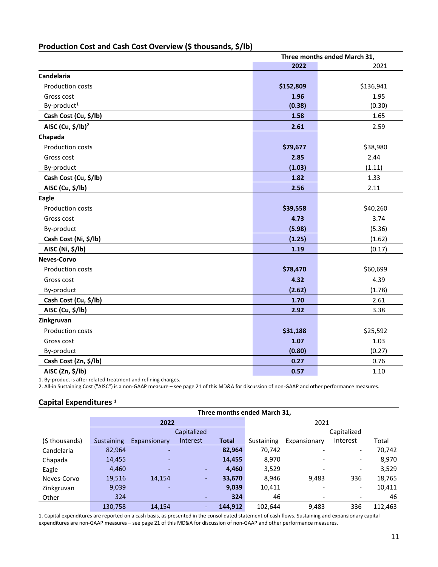# **Production Cost and Cash Cost Overview (\$ thousands, \$/lb)**

|                               | Three months ended March 31, |           |  |  |
|-------------------------------|------------------------------|-----------|--|--|
|                               | 2022                         | 2021      |  |  |
| Candelaria                    |                              |           |  |  |
| Production costs              | \$152,809                    | \$136,941 |  |  |
| Gross cost                    | 1.96                         | 1.95      |  |  |
| By-product <sup>1</sup>       | (0.38)                       | (0.30)    |  |  |
| Cash Cost (Cu, \$/lb)         | 1.58                         | 1.65      |  |  |
| AISC (Cu, \$/lb) <sup>2</sup> | 2.61                         | 2.59      |  |  |
| Chapada                       |                              |           |  |  |
| Production costs              | \$79,677                     | \$38,980  |  |  |
| Gross cost                    | 2.85                         | 2.44      |  |  |
| By-product                    | (1.03)                       | (1.11)    |  |  |
| Cash Cost (Cu, \$/lb)         | 1.82                         | 1.33      |  |  |
| AISC (Cu, \$/lb)              | 2.56                         | 2.11      |  |  |
| Eagle                         |                              |           |  |  |
| Production costs              | \$39,558                     | \$40,260  |  |  |
| Gross cost                    | 4.73                         | 3.74      |  |  |
| By-product                    | (5.98)                       | (5.36)    |  |  |
| Cash Cost (Ni, \$/lb)         | (1.25)                       | (1.62)    |  |  |
| AISC (Ni, \$/lb)              | 1.19                         | (0.17)    |  |  |
| <b>Neves-Corvo</b>            |                              |           |  |  |
| <b>Production costs</b>       | \$78,470                     | \$60,699  |  |  |
| Gross cost                    | 4.32                         | 4.39      |  |  |
| By-product                    | (2.62)                       | (1.78)    |  |  |
| Cash Cost (Cu, \$/lb)         | 1.70                         | 2.61      |  |  |
| AISC (Cu, \$/lb)              | 2.92                         | 3.38      |  |  |
| Zinkgruvan                    |                              |           |  |  |
| <b>Production costs</b>       | \$31,188                     | \$25,592  |  |  |
| Gross cost                    | 1.07                         | 1.03      |  |  |
| By-product                    | (0.80)                       | (0.27)    |  |  |
| Cash Cost (Zn, \$/lb)         | 0.27                         | 0.76      |  |  |
| AISC (Zn, \$/lb)              | 0.57                         | 1.10      |  |  |

1. By-product is after related treatment and refining charges.

2. All-in Sustaining Cost ("AISC") is a non-GAAP measure – see page 21 of this MD&A for discussion of non-GAAP and other performance measures.

#### **Capital Expenditures <sup>1</sup>**

|                | Three months ended March 31, |              |                |              |            |                          |                              |         |
|----------------|------------------------------|--------------|----------------|--------------|------------|--------------------------|------------------------------|---------|
|                |                              | 2022         |                |              |            | 2021                     |                              |         |
|                |                              |              | Capitalized    |              |            |                          | Capitalized                  |         |
| (\$ thousands) | Sustaining                   | Expansionary | Interest       | <b>Total</b> | Sustaining | Expansionary             | Interest                     | Total   |
| Candelaria     | 82,964                       | -            |                | 82,964       | 70,742     |                          | $\qquad \qquad \blacksquare$ | 70,742  |
| Chapada        | 14,455                       | ٠            |                | 14,455       | 8,970      | $\overline{\phantom{0}}$ | $\overline{\phantom{a}}$     | 8,970   |
| Eagle          | 4,460                        |              | ٠              | 4,460        | 3,529      |                          | $\overline{\phantom{a}}$     | 3,529   |
| Neves-Corvo    | 19,516                       | 14.154       | ٠              | 33,670       | 8.946      | 9,483                    | 336                          | 18,765  |
| Zinkgruvan     | 9,039                        |              |                | 9,039        | 10,411     |                          | $\overline{\phantom{a}}$     | 10,411  |
| Other          | 324                          |              | ٠              | 324          | 46         |                          | -                            | 46      |
|                | 130,758                      | 14.154       | $\overline{a}$ | 144.912      | 102.644    | 9.483                    | 336                          | 112.463 |

1. Capital expenditures are reported on a cash basis, as presented in the consolidated statement of cash flows. Sustaining and expansionary capital expenditures are non-GAAP measures – see page 21 of this MD&A for discussion of non-GAAP and other performance measures.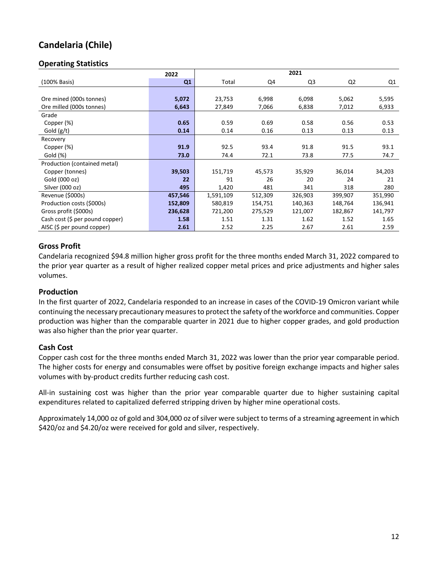# **Candelaria (Chile)**

## **Operating Statistics**

|                                 | 2022    | 2021      |         |         |                |         |
|---------------------------------|---------|-----------|---------|---------|----------------|---------|
| (100% Basis)                    | Q1      | Total     | Q4      | Q3      | Q <sub>2</sub> | Q1      |
|                                 |         |           |         |         |                |         |
| Ore mined (000s tonnes)         | 5,072   | 23,753    | 6,998   | 6,098   | 5,062          | 5,595   |
| Ore milled (000s tonnes)        | 6,643   | 27,849    | 7,066   | 6,838   | 7,012          | 6,933   |
| Grade                           |         |           |         |         |                |         |
| Copper (%)                      | 0.65    | 0.59      | 0.69    | 0.58    | 0.56           | 0.53    |
| Gold $(g/t)$                    | 0.14    | 0.14      | 0.16    | 0.13    | 0.13           | 0.13    |
| Recovery                        |         |           |         |         |                |         |
| Copper (%)                      | 91.9    | 92.5      | 93.4    | 91.8    | 91.5           | 93.1    |
| Gold (%)                        | 73.0    | 74.4      | 72.1    | 73.8    | 77.5           | 74.7    |
| Production (contained metal)    |         |           |         |         |                |         |
| Copper (tonnes)                 | 39,503  | 151,719   | 45,573  | 35,929  | 36,014         | 34,203  |
| Gold (000 oz)                   | 22      | 91        | 26      | 20      | 24             | 21      |
| Silver (000 oz)                 | 495     | 1,420     | 481     | 341     | 318            | 280     |
| Revenue (\$000s)                | 457,546 | 1,591,109 | 512,309 | 326,903 | 399,907        | 351,990 |
| Production costs (\$000s)       | 152,809 | 580,819   | 154,751 | 140,363 | 148,764        | 136,941 |
| Gross profit (\$000s)           | 236,628 | 721,200   | 275,529 | 121,007 | 182,867        | 141,797 |
| Cash cost (\$ per pound copper) | 1.58    | 1.51      | 1.31    | 1.62    | 1.52           | 1.65    |
| AISC (\$ per pound copper)      | 2.61    | 2.52      | 2.25    | 2.67    | 2.61           | 2.59    |

## **Gross Profit**

Candelaria recognized \$94.8 million higher gross profit for the three months ended March 31, 2022 compared to the prior year quarter as a result of higher realized copper metal prices and price adjustments and higher sales volumes.

#### **Production**

In the first quarter of 2022, Candelaria responded to an increase in cases of the COVID-19 Omicron variant while continuing the necessary precautionary measures to protect the safety of the workforce and communities. Copper production was higher than the comparable quarter in 2021 due to higher copper grades, and gold production was also higher than the prior year quarter.

#### **Cash Cost**

Copper cash cost for the three months ended March 31, 2022 was lower than the prior year comparable period. The higher costs for energy and consumables were offset by positive foreign exchange impacts and higher sales volumes with by-product credits further reducing cash cost.

All-in sustaining cost was higher than the prior year comparable quarter due to higher sustaining capital expenditures related to capitalized deferred stripping driven by higher mine operational costs.

Approximately 14,000 oz of gold and 304,000 oz of silver were subject to terms of a streaming agreement in which \$420/oz and \$4.20/oz were received for gold and silver, respectively.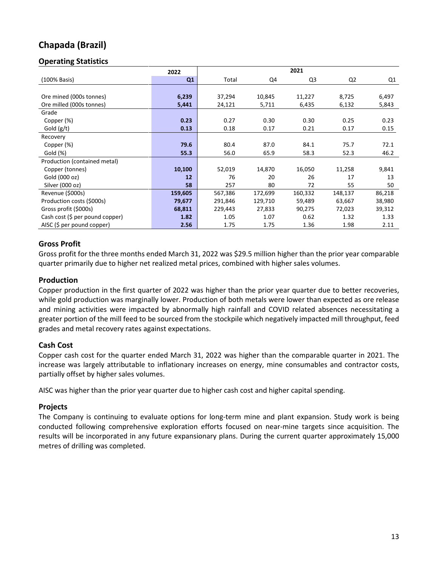# **Chapada (Brazil)**

## **Operating Statistics**

|                                 | 2022    | 2021    |         |                |                |        |
|---------------------------------|---------|---------|---------|----------------|----------------|--------|
| (100% Basis)                    | Q1      | Total   | Q4      | Q <sub>3</sub> | Q <sub>2</sub> | Q1     |
|                                 |         |         |         |                |                |        |
| Ore mined (000s tonnes)         | 6,239   | 37,294  | 10,845  | 11,227         | 8,725          | 6,497  |
| Ore milled (000s tonnes)        | 5,441   | 24,121  | 5,711   | 6,435          | 6,132          | 5,843  |
| Grade                           |         |         |         |                |                |        |
| Copper (%)                      | 0.23    | 0.27    | 0.30    | 0.30           | 0.25           | 0.23   |
| Gold (g/t)                      | 0.13    | 0.18    | 0.17    | 0.21           | 0.17           | 0.15   |
| Recovery                        |         |         |         |                |                |        |
| Copper (%)                      | 79.6    | 80.4    | 87.0    | 84.1           | 75.7           | 72.1   |
| Gold (%)                        | 55.3    | 56.0    | 65.9    | 58.3           | 52.3           | 46.2   |
| Production (contained metal)    |         |         |         |                |                |        |
| Copper (tonnes)                 | 10,100  | 52,019  | 14,870  | 16,050         | 11,258         | 9,841  |
| Gold (000 oz)                   | 12      | 76      | 20      | 26             | 17             | 13     |
| Silver (000 oz)                 | 58      | 257     | 80      | 72             | 55             | 50     |
| Revenue (\$000s)                | 159,605 | 567,386 | 172,699 | 160,332        | 148,137        | 86,218 |
| Production costs (\$000s)       | 79,677  | 291,846 | 129,710 | 59,489         | 63,667         | 38,980 |
| Gross profit (\$000s)           | 68,811  | 229,443 | 27,833  | 90,275         | 72,023         | 39,312 |
| Cash cost (\$ per pound copper) | 1.82    | 1.05    | 1.07    | 0.62           | 1.32           | 1.33   |
| AISC (\$ per pound copper)      | 2.56    | 1.75    | 1.75    | 1.36           | 1.98           | 2.11   |

## **Gross Profit**

Gross profit for the three months ended March 31, 2022 was \$29.5 million higher than the prior year comparable quarter primarily due to higher net realized metal prices, combined with higher sales volumes.

#### **Production**

Copper production in the first quarter of 2022 was higher than the prior year quarter due to better recoveries, while gold production was marginally lower. Production of both metals were lower than expected as ore release and mining activities were impacted by abnormally high rainfall and COVID related absences necessitating a greater portion of the mill feed to be sourced from the stockpile which negatively impacted mill throughput, feed grades and metal recovery rates against expectations.

#### **Cash Cost**

Copper cash cost for the quarter ended March 31, 2022 was higher than the comparable quarter in 2021. The increase was largely attributable to inflationary increases on energy, mine consumables and contractor costs, partially offset by higher sales volumes.

AISC was higher than the prior year quarter due to higher cash cost and higher capital spending.

## **Projects**

The Company is continuing to evaluate options for long-term mine and plant expansion. Study work is being conducted following comprehensive exploration efforts focused on near-mine targets since acquisition. The results will be incorporated in any future expansionary plans. During the current quarter approximately 15,000 metres of drilling was completed.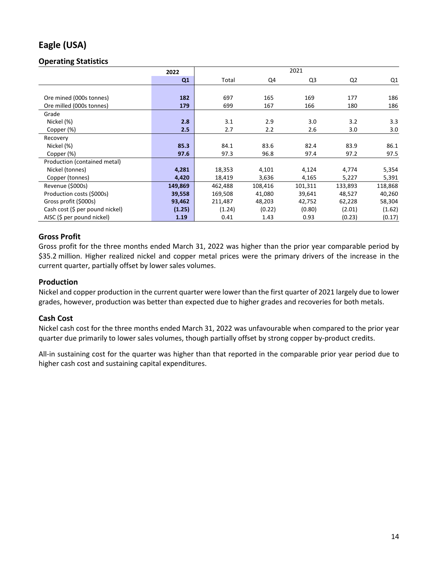# **Eagle (USA)**

## **Operating Statistics**

|                                 | 2022    |         | 2021    |         |         |         |  |
|---------------------------------|---------|---------|---------|---------|---------|---------|--|
|                                 | Q1      | Total   | Q4      | Q3      | Q2      | Q1      |  |
|                                 |         |         |         |         |         |         |  |
| Ore mined (000s tonnes)         | 182     | 697     | 165     | 169     | 177     | 186     |  |
| Ore milled (000s tonnes)        | 179     | 699     | 167     | 166     | 180     | 186     |  |
| Grade                           |         |         |         |         |         |         |  |
| Nickel (%)                      | 2.8     | 3.1     | 2.9     | 3.0     | 3.2     | 3.3     |  |
| Copper (%)                      | 2.5     | 2.7     | 2.2     | 2.6     | 3.0     | 3.0     |  |
| Recovery                        |         |         |         |         |         |         |  |
| Nickel (%)                      | 85.3    | 84.1    | 83.6    | 82.4    | 83.9    | 86.1    |  |
| Copper (%)                      | 97.6    | 97.3    | 96.8    | 97.4    | 97.2    | 97.5    |  |
| Production (contained metal)    |         |         |         |         |         |         |  |
| Nickel (tonnes)                 | 4,281   | 18,353  | 4,101   | 4,124   | 4,774   | 5,354   |  |
| Copper (tonnes)                 | 4,420   | 18,419  | 3,636   | 4,165   | 5,227   | 5,391   |  |
| Revenue (\$000s)                | 149,869 | 462,488 | 108,416 | 101,311 | 133,893 | 118,868 |  |
| Production costs (\$000s)       | 39,558  | 169,508 | 41,080  | 39,641  | 48,527  | 40,260  |  |
| Gross profit (\$000s)           | 93,462  | 211,487 | 48,203  | 42,752  | 62,228  | 58,304  |  |
| Cash cost (\$ per pound nickel) | (1.25)  | (1.24)  | (0.22)  | (0.80)  | (2.01)  | (1.62)  |  |
| AISC (\$ per pound nickel)      | 1.19    | 0.41    | 1.43    | 0.93    | (0.23)  | (0.17)  |  |

## **Gross Profit**

Gross profit for the three months ended March 31, 2022 was higher than the prior year comparable period by \$35.2 million. Higher realized nickel and copper metal prices were the primary drivers of the increase in the current quarter, partially offset by lower sales volumes.

#### **Production**

Nickel and copper production in the current quarter were lower than the first quarter of 2021 largely due to lower grades, however, production was better than expected due to higher grades and recoveries for both metals.

## **Cash Cost**

Nickel cash cost for the three months ended March 31, 2022 was unfavourable when compared to the prior year quarter due primarily to lower sales volumes, though partially offset by strong copper by-product credits.

All-in sustaining cost for the quarter was higher than that reported in the comparable prior year period due to higher cash cost and sustaining capital expenditures.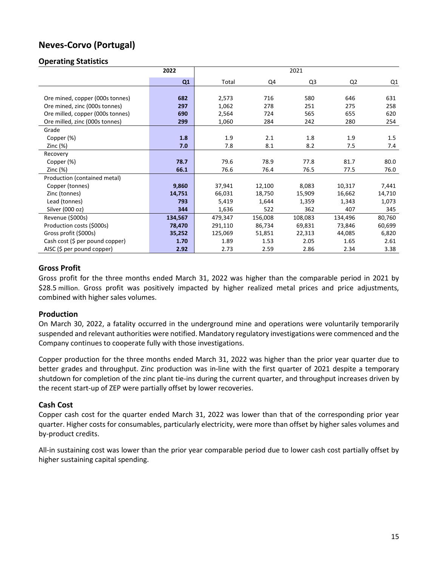# **Neves-Corvo (Portugal)**

#### **Operating Statistics**

|                                             | 2022    | 2021    |         |                |                |        |
|---------------------------------------------|---------|---------|---------|----------------|----------------|--------|
|                                             | Q1      | Total   | Q4      | Q <sub>3</sub> | Q <sub>2</sub> | Q1     |
|                                             |         |         |         |                |                |        |
| Ore mined, copper (000s tonnes)             | 682     | 2,573   | 716     | 580            | 646            | 631    |
| Ore mined, zinc (000s tonnes)               | 297     | 1,062   | 278     | 251            | 275            | 258    |
| Ore milled, copper (000s tonnes)            | 690     | 2,564   | 724     | 565            | 655            | 620    |
| Ore milled, zinc (000s tonnes)              | 299     | 1,060   | 284     | 242            | 280            | 254    |
| Grade                                       |         |         |         |                |                |        |
| Copper (%)                                  | 1.8     | 1.9     | 2.1     | 1.8            | 1.9            | 1.5    |
| Zinc $(\%)$                                 | 7.0     | 7.8     | 8.1     | 8.2            | 7.5            | 7.4    |
| Recovery                                    |         |         |         |                |                |        |
| Copper (%)                                  | 78.7    | 79.6    | 78.9    | 77.8           | 81.7           | 80.0   |
| Zinc $(\%)$                                 | 66.1    | 76.6    | 76.4    | 76.5           | 77.5           | 76.0   |
| Production (contained metal)                |         |         |         |                |                |        |
| Copper (tonnes)                             | 9,860   | 37,941  | 12,100  | 8,083          | 10,317         | 7,441  |
| Zinc (tonnes)                               | 14,751  | 66,031  | 18,750  | 15,909         | 16,662         | 14,710 |
| Lead (tonnes)                               | 793     | 5,419   | 1,644   | 1,359          | 1,343          | 1,073  |
| Silver (000 oz)                             | 344     | 1,636   | 522     | 362            | 407            | 345    |
| Revenue (\$000s)                            | 134,567 | 479,347 | 156,008 | 108,083        | 134,496        | 80,760 |
| Production costs (\$000s)                   | 78,470  | 291,110 | 86,734  | 69,831         | 73,846         | 60,699 |
| Gross profit (\$000s)                       | 35,252  | 125,069 | 51,851  | 22,313         | 44,085         | 6,820  |
| Cash cost $(\frac{1}{2})$ per pound copper) | 1.70    | 1.89    | 1.53    | 2.05           | 1.65           | 2.61   |
| AISC $(5$ per pound copper)                 | 2.92    | 2.73    | 2.59    | 2.86           | 2.34           | 3.38   |

#### **Gross Profit**

Gross profit for the three months ended March 31, 2022 was higher than the comparable period in 2021 by \$28.5 million. Gross profit was positively impacted by higher realized metal prices and price adjustments, combined with higher sales volumes.

#### **Production**

On March 30, 2022, a fatality occurred in the underground mine and operations were voluntarily temporarily suspended and relevant authorities were notified. Mandatory regulatory investigations were commenced and the Company continues to cooperate fully with those investigations.

Copper production for the three months ended March 31, 2022 was higher than the prior year quarter due to better grades and throughput. Zinc production was in-line with the first quarter of 2021 despite a temporary shutdown for completion of the zinc plant tie-ins during the current quarter, and throughput increases driven by the recent start-up of ZEP were partially offset by lower recoveries.

#### **Cash Cost**

Copper cash cost for the quarter ended March 31, 2022 was lower than that of the corresponding prior year quarter. Higher costs for consumables, particularly electricity, were more than offset by higher sales volumes and by-product credits.

All-in sustaining cost was lower than the prior year comparable period due to lower cash cost partially offset by higher sustaining capital spending.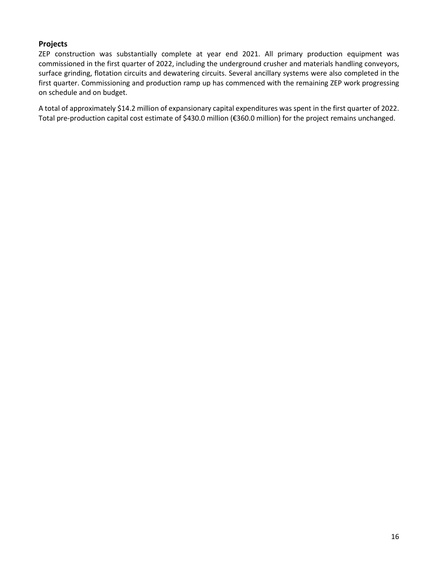## **Projects**

ZEP construction was substantially complete at year end 2021. All primary production equipment was commissioned in the first quarter of 2022, including the underground crusher and materials handling conveyors, surface grinding, flotation circuits and dewatering circuits. Several ancillary systems were also completed in the first quarter. Commissioning and production ramp up has commenced with the remaining ZEP work progressing on schedule and on budget.

A total of approximately \$14.2 million of expansionary capital expenditures was spent in the first quarter of 2022. Total pre-production capital cost estimate of \$430.0 million (€360.0 million) for the project remains unchanged.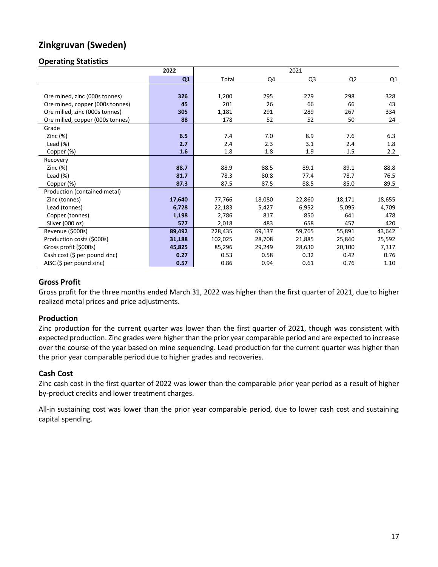# **Zinkgruvan (Sweden)**

## **Operating Statistics**

|                                  | 2022   |         | 2021   |                |                |        |
|----------------------------------|--------|---------|--------|----------------|----------------|--------|
|                                  | Q1     | Total   | Q4     | Q <sub>3</sub> | Q <sub>2</sub> | Q1     |
|                                  |        |         |        |                |                |        |
| Ore mined, zinc (000s tonnes)    | 326    | 1,200   | 295    | 279            | 298            | 328    |
| Ore mined, copper (000s tonnes)  | 45     | 201     | 26     | 66             | 66             | 43     |
| Ore milled, zinc (000s tonnes)   | 305    | 1,181   | 291    | 289            | 267            | 334    |
| Ore milled, copper (000s tonnes) | 88     | 178     | 52     | 52             | 50             | 24     |
| Grade                            |        |         |        |                |                |        |
| Zinc $(%)$                       | 6.5    | 7.4     | 7.0    | 8.9            | 7.6            | 6.3    |
| Lead $(\%)$                      | 2.7    | 2.4     | 2.3    | 3.1            | 2.4            | 1.8    |
| Copper (%)                       | 1.6    | 1.8     | 1.8    | 1.9            | 1.5            | 2.2    |
| Recovery                         |        |         |        |                |                |        |
| Zinc $(\%)$                      | 88.7   | 88.9    | 88.5   | 89.1           | 89.1           | 88.8   |
| Lead $(\%)$                      | 81.7   | 78.3    | 80.8   | 77.4           | 78.7           | 76.5   |
| Copper (%)                       | 87.3   | 87.5    | 87.5   | 88.5           | 85.0           | 89.5   |
| Production (contained metal)     |        |         |        |                |                |        |
| Zinc (tonnes)                    | 17,640 | 77,766  | 18,080 | 22,860         | 18,171         | 18,655 |
| Lead (tonnes)                    | 6,728  | 22,183  | 5,427  | 6,952          | 5,095          | 4,709  |
| Copper (tonnes)                  | 1,198  | 2,786   | 817    | 850            | 641            | 478    |
| Silver (000 oz)                  | 577    | 2,018   | 483    | 658            | 457            | 420    |
| Revenue (\$000s)                 | 89,492 | 228,435 | 69,137 | 59,765         | 55,891         | 43,642 |
| Production costs (\$000s)        | 31,188 | 102,025 | 28,708 | 21,885         | 25,840         | 25,592 |
| Gross profit (\$000s)            | 45,825 | 85,296  | 29,249 | 28,630         | 20,100         | 7,317  |
| Cash cost (\$ per pound zinc)    | 0.27   | 0.53    | 0.58   | 0.32           | 0.42           | 0.76   |
| AISC (\$ per pound zinc)         | 0.57   | 0.86    | 0.94   | 0.61           | 0.76           | 1.10   |

## **Gross Profit**

Gross profit for the three months ended March 31, 2022 was higher than the first quarter of 2021, due to higher realized metal prices and price adjustments.

## **Production**

Zinc production for the current quarter was lower than the first quarter of 2021, though was consistent with expected production. Zinc grades were higher than the prior year comparable period and are expected to increase over the course of the year based on mine sequencing. Lead production for the current quarter was higher than the prior year comparable period due to higher grades and recoveries.

## **Cash Cost**

Zinc cash cost in the first quarter of 2022 was lower than the comparable prior year period as a result of higher by-product credits and lower treatment charges.

All-in sustaining cost was lower than the prior year comparable period, due to lower cash cost and sustaining capital spending.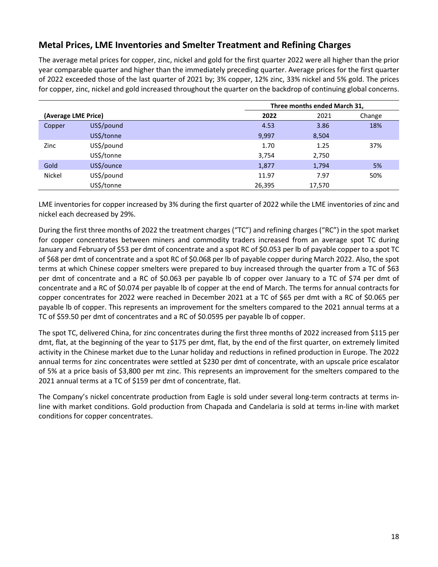# **Metal Prices, LME Inventories and Smelter Treatment and Refining Charges**

The average metal prices for copper, zinc, nickel and gold for the first quarter 2022 were all higher than the prior year comparable quarter and higher than the immediately preceding quarter. Average prices for the first quarter of 2022 exceeded those of the last quarter of 2021 by; 3% copper, 12% zinc, 33% nickel and 5% gold. The prices for copper, zinc, nickel and gold increased throughout the quarter on the backdrop of continuing global concerns.

|                     |            | Three months ended March 31, |        |        |
|---------------------|------------|------------------------------|--------|--------|
| (Average LME Price) |            | 2022                         | 2021   | Change |
| Copper              | US\$/pound | 4.53                         | 3.86   | 18%    |
|                     | US\$/tonne | 9,997                        | 8,504  |        |
| Zinc                | US\$/pound | 1.70                         | 1.25   | 37%    |
|                     | US\$/tonne | 3,754                        | 2,750  |        |
| Gold                | US\$/ounce | 1,877                        | 1,794  | 5%     |
| <b>Nickel</b>       | US\$/pound | 11.97                        | 7.97   | 50%    |
|                     | US\$/tonne | 26,395                       | 17,570 |        |

LME inventories for copper increased by 3% during the first quarter of 2022 while the LME inventories of zinc and nickel each decreased by 29%.

During the first three months of 2022 the treatment charges ("TC") and refining charges ("RC") in the spot market for copper concentrates between miners and commodity traders increased from an average spot TC during January and February of \$53 per dmt of concentrate and a spot RC of \$0.053 per lb of payable copper to a spot TC of \$68 per dmt of concentrate and a spot RC of \$0.068 per lb of payable copper during March 2022. Also, the spot terms at which Chinese copper smelters were prepared to buy increased through the quarter from a TC of \$63 per dmt of concentrate and a RC of \$0.063 per payable lb of copper over January to a TC of \$74 per dmt of concentrate and a RC of \$0.074 per payable lb of copper at the end of March. The terms for annual contracts for copper concentrates for 2022 were reached in December 2021 at a TC of \$65 per dmt with a RC of \$0.065 per payable lb of copper. This represents an improvement for the smelters compared to the 2021 annual terms at a TC of \$59.50 per dmt of concentrates and a RC of \$0.0595 per payable lb of copper.

The spot TC, delivered China, for zinc concentrates during the first three months of 2022 increased from \$115 per dmt, flat, at the beginning of the year to \$175 per dmt, flat, by the end of the first quarter, on extremely limited activity in the Chinese market due to the Lunar holiday and reductions in refined production in Europe. The 2022 annual terms for zinc concentrates were settled at \$230 per dmt of concentrate, with an upscale price escalator of 5% at a price basis of \$3,800 per mt zinc. This represents an improvement for the smelters compared to the 2021 annual terms at a TC of \$159 per dmt of concentrate, flat.

The Company's nickel concentrate production from Eagle is sold under several long-term contracts at terms inline with market conditions. Gold production from Chapada and Candelaria is sold at terms in-line with market conditions for copper concentrates.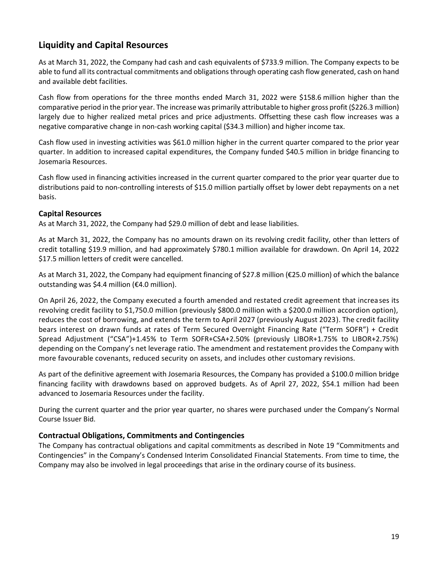# **Liquidity and Capital Resources**

As at March 31, 2022, the Company had cash and cash equivalents of \$733.9 million. The Company expects to be able to fund all its contractual commitments and obligations through operating cash flow generated, cash on hand and available debt facilities.

Cash flow from operations for the three months ended March 31, 2022 were \$158.6 million higher than the comparative period in the prior year. The increase was primarily attributable to higher gross profit (\$226.3 million) largely due to higher realized metal prices and price adjustments. Offsetting these cash flow increases was a negative comparative change in non-cash working capital (\$34.3 million) and higher income tax.

Cash flow used in investing activities was \$61.0 million higher in the current quarter compared to the prior year quarter. In addition to increased capital expenditures, the Company funded \$40.5 million in bridge financing to Josemaria Resources.

Cash flow used in financing activities increased in the current quarter compared to the prior year quarter due to distributions paid to non-controlling interests of \$15.0 million partially offset by lower debt repayments on a net basis.

#### **Capital Resources**

As at March 31, 2022, the Company had \$29.0 million of debt and lease liabilities.

As at March 31, 2022, the Company has no amounts drawn on its revolving credit facility, other than letters of credit totalling \$19.9 million, and had approximately \$780.1 million available for drawdown. On April 14, 2022 \$17.5 million letters of credit were cancelled.

As at March 31, 2022, the Company had equipment financing of \$27.8 million (€25.0 million) of which the balance outstanding was \$4.4 million (€4.0 million).

On April 26, 2022, the Company executed a fourth amended and restated credit agreement that increases its revolving credit facility to \$1,750.0 million (previously \$800.0 million with a \$200.0 million accordion option), reduces the cost of borrowing, and extends the term to April 2027 (previously August 2023). The credit facility bears interest on drawn funds at rates of Term Secured Overnight Financing Rate ("Term SOFR") + Credit Spread Adjustment ("CSA")+1.45% to Term SOFR+CSA+2.50% (previously LIBOR+1.75% to LIBOR+2.75%) depending on the Company's net leverage ratio. The amendment and restatement provides the Company with more favourable covenants, reduced security on assets, and includes other customary revisions.

As part of the definitive agreement with Josemaria Resources, the Company has provided a \$100.0 million bridge financing facility with drawdowns based on approved budgets. As of April 27, 2022, \$54.1 million had been advanced to Josemaria Resources under the facility.

During the current quarter and the prior year quarter, no shares were purchased under the Company's Normal Course Issuer Bid.

## **Contractual Obligations, Commitments and Contingencies**

The Company has contractual obligations and capital commitments as described in Note 19 "Commitments and Contingencies" in the Company's Condensed Interim Consolidated Financial Statements. From time to time, the Company may also be involved in legal proceedings that arise in the ordinary course of its business.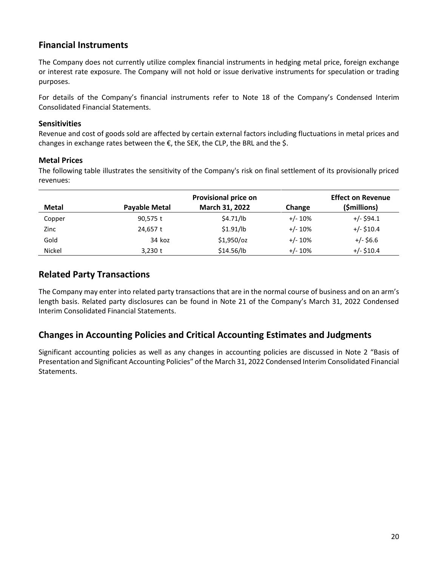# **Financial Instruments**

The Company does not currently utilize complex financial instruments in hedging metal price, foreign exchange or interest rate exposure. The Company will not hold or issue derivative instruments for speculation or trading purposes.

For details of the Company's financial instruments refer to Note 18 of the Company's Condensed Interim Consolidated Financial Statements.

## **Sensitivities**

Revenue and cost of goods sold are affected by certain external factors including fluctuations in metal prices and changes in exchange rates between the  $\epsilon$ , the SEK, the CLP, the BRL and the \$.

## **Metal Prices**

The following table illustrates the sensitivity of the Company's risk on final settlement of its provisionally priced revenues:

|               |                      | <b>Provisional price on</b> |            |              |  |  |  |
|---------------|----------------------|-----------------------------|------------|--------------|--|--|--|
| Metal         | <b>Payable Metal</b> | March 31, 2022              | Change     | (\$millions) |  |  |  |
| Copper        | 90,575 t             | \$4.71/lb                   | $+/- 10%$  | $+/-$ \$94.1 |  |  |  |
| Zinc          | 24.657 t             | \$1.91/lb                   | $+/- 10%$  | $+/-$ \$10.4 |  |  |  |
| Gold          | 34 koz               | $$1,950$ /oz                | $+/- 10%$  | $+/-$ \$6.6  |  |  |  |
| <b>Nickel</b> | $3,230$ t            | \$14.56/lb                  | $+/- 10\%$ | $+/-$ \$10.4 |  |  |  |

# **Related Party Transactions**

The Company may enter into related party transactions that are in the normal course of business and on an arm's length basis. Related party disclosures can be found in Note 21 of the Company's March 31, 2022 Condensed Interim Consolidated Financial Statements.

# **Changes in Accounting Policies and Critical Accounting Estimates and Judgments**

Significant accounting policies as well as any changes in accounting policies are discussed in Note 2 "Basis of Presentation and Significant Accounting Policies" of the March 31, 2022 Condensed Interim Consolidated Financial Statements.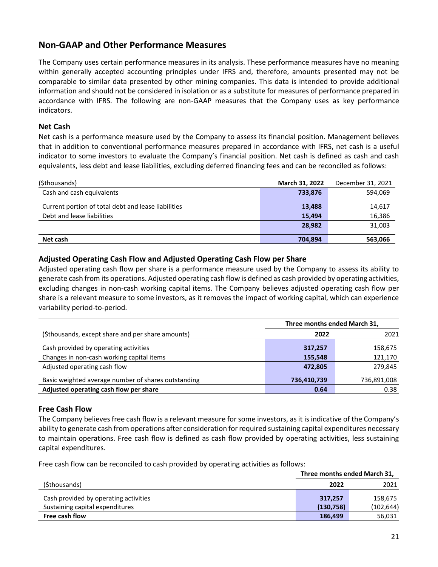# **Non-GAAP and Other Performance Measures**

The Company uses certain performance measures in its analysis. These performance measures have no meaning within generally accepted accounting principles under IFRS and, therefore, amounts presented may not be comparable to similar data presented by other mining companies. This data is intended to provide additional information and should not be considered in isolation or as a substitute for measures of performance prepared in accordance with IFRS. The following are non-GAAP measures that the Company uses as key performance indicators.

#### **Net Cash**

Net cash is a performance measure used by the Company to assess its financial position. Management believes that in addition to conventional performance measures prepared in accordance with IFRS, net cash is a useful indicator to some investors to evaluate the Company's financial position. Net cash is defined as cash and cash equivalents, less debt and lease liabilities, excluding deferred financing fees and can be reconciled as follows:

| (\$thousands)                                       | March 31, 2022 | December 31, 2021 |
|-----------------------------------------------------|----------------|-------------------|
| Cash and cash equivalents                           | 733,876        | 594,069           |
| Current portion of total debt and lease liabilities | 13,488         | 14,617            |
| Debt and lease liabilities                          | 15.494         | 16,386            |
|                                                     | 28.982         | 31,003            |
| Net cash                                            | 704.894        | 563,066           |

#### **Adjusted Operating Cash Flow and Adjusted Operating Cash Flow per Share**

Adjusted operating cash flow per share is a performance measure used by the Company to assess its ability to generate cash from its operations. Adjusted operating cash flow is defined as cash provided by operating activities, excluding changes in non-cash working capital items. The Company believes adjusted operating cash flow per share is a relevant measure to some investors, as it removes the impact of working capital, which can experience variability period-to-period.

|                                                     | Three months ended March 31, |             |  |  |  |  |  |
|-----------------------------------------------------|------------------------------|-------------|--|--|--|--|--|
| (\$thousands, except share and per share amounts)   | 2022                         | 2021        |  |  |  |  |  |
| Cash provided by operating activities               | 317,257                      | 158,675     |  |  |  |  |  |
| Changes in non-cash working capital items           | 155,548                      | 121,170     |  |  |  |  |  |
| Adjusted operating cash flow                        | 472,805                      | 279,845     |  |  |  |  |  |
| Basic weighted average number of shares outstanding | 736,410,739                  | 736,891,008 |  |  |  |  |  |
| Adjusted operating cash flow per share              | 0.64                         | 0.38        |  |  |  |  |  |

#### **Free Cash Flow**

The Company believes free cash flow is a relevant measure for some investors, as it is indicative of the Company's ability to generate cash from operations after consideration for required sustaining capital expenditures necessary to maintain operations. Free cash flow is defined as cash flow provided by operating activities, less sustaining capital expenditures.

Free cash flow can be reconciled to cash provided by operating activities as follows:

|                                       | Three months ended March 31, |            |  |  |  |
|---------------------------------------|------------------------------|------------|--|--|--|
| (\$thousands)                         | 2022                         | 2021       |  |  |  |
| Cash provided by operating activities | 317.257                      | 158.675    |  |  |  |
| Sustaining capital expenditures       | (130, 758)                   | (102, 644) |  |  |  |
| Free cash flow                        | 186,499                      | 56,031     |  |  |  |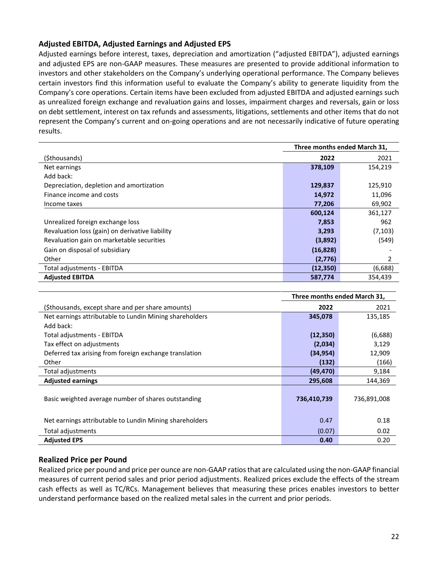## **Adjusted EBITDA, Adjusted Earnings and Adjusted EPS**

Adjusted earnings before interest, taxes, depreciation and amortization ("adjusted EBITDA"), adjusted earnings and adjusted EPS are non-GAAP measures. These measures are presented to provide additional information to investors and other stakeholders on the Company's underlying operational performance. The Company believes certain investors find this information useful to evaluate the Company's ability to generate liquidity from the Company's core operations. Certain items have been excluded from adjusted EBITDA and adjusted earnings such as unrealized foreign exchange and revaluation gains and losses, impairment charges and reversals, gain or loss on debt settlement, interest on tax refunds and assessments, litigations, settlements and other items that do not represent the Company's current and on-going operations and are not necessarily indicative of future operating results.

|                                                 | Three months ended March 31, |          |  |  |  |
|-------------------------------------------------|------------------------------|----------|--|--|--|
| (\$thousands)                                   | 2022                         | 2021     |  |  |  |
| Net earnings                                    | 378,109                      | 154,219  |  |  |  |
| Add back:                                       |                              |          |  |  |  |
| Depreciation, depletion and amortization        | 129,837                      | 125,910  |  |  |  |
| Finance income and costs                        | 14,972                       | 11,096   |  |  |  |
| Income taxes                                    | 77,206                       | 69,902   |  |  |  |
|                                                 | 600,124                      | 361,127  |  |  |  |
| Unrealized foreign exchange loss                | 7,853                        | 962      |  |  |  |
| Revaluation loss (gain) on derivative liability | 3,293                        | (7, 103) |  |  |  |
| Revaluation gain on marketable securities       | (3,892)                      | (549)    |  |  |  |
| Gain on disposal of subsidiary                  | (16, 828)                    |          |  |  |  |
| Other                                           | (2,776)                      | 2        |  |  |  |
| Total adjustments - EBITDA                      | (12, 350)                    | (6,688)  |  |  |  |
| <b>Adjusted EBITDA</b>                          | 587,774                      | 354,439  |  |  |  |

|                                                         | Three months ended March 31, |             |  |  |  |  |  |  |  |
|---------------------------------------------------------|------------------------------|-------------|--|--|--|--|--|--|--|
| (\$thousands, except share and per share amounts)       | 2022                         | 2021        |  |  |  |  |  |  |  |
| Net earnings attributable to Lundin Mining shareholders | 345,078                      | 135,185     |  |  |  |  |  |  |  |
| Add back:                                               |                              |             |  |  |  |  |  |  |  |
| Total adjustments - EBITDA                              | (12, 350)                    | (6,688)     |  |  |  |  |  |  |  |
| Tax effect on adjustments                               | (2,034)                      | 3,129       |  |  |  |  |  |  |  |
| Deferred tax arising from foreign exchange translation  | (34, 954)                    | 12,909      |  |  |  |  |  |  |  |
| Other                                                   | (132)                        | (166)       |  |  |  |  |  |  |  |
| Total adjustments                                       | (49, 470)                    | 9,184       |  |  |  |  |  |  |  |
| <b>Adjusted earnings</b>                                | 295,608                      | 144,369     |  |  |  |  |  |  |  |
| Basic weighted average number of shares outstanding     | 736,410,739                  | 736,891,008 |  |  |  |  |  |  |  |
| Net earnings attributable to Lundin Mining shareholders | 0.47                         | 0.18        |  |  |  |  |  |  |  |
| Total adjustments                                       | (0.07)                       | 0.02        |  |  |  |  |  |  |  |
| <b>Adjusted EPS</b>                                     | 0.40                         | 0.20        |  |  |  |  |  |  |  |

## **Realized Price per Pound**

Realized price per pound and price per ounce are non-GAAP ratiosthat are calculated using the non-GAAP financial measures of current period sales and prior period adjustments. Realized prices exclude the effects of the stream cash effects as well as TC/RCs. Management believes that measuring these prices enables investors to better understand performance based on the realized metal sales in the current and prior periods.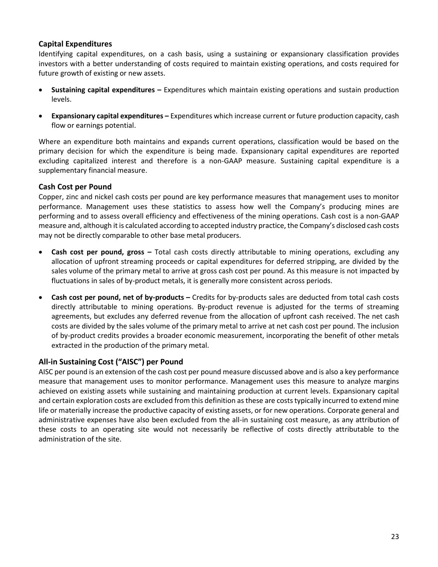## **Capital Expenditures**

Identifying capital expenditures, on a cash basis, using a sustaining or expansionary classification provides investors with a better understanding of costs required to maintain existing operations, and costs required for future growth of existing or new assets.

- **Sustaining capital expenditures –** Expenditures which maintain existing operations and sustain production levels.
- **Expansionary capital expenditures –** Expenditures which increase current or future production capacity, cash flow or earnings potential.

Where an expenditure both maintains and expands current operations, classification would be based on the primary decision for which the expenditure is being made. Expansionary capital expenditures are reported excluding capitalized interest and therefore is a non-GAAP measure. Sustaining capital expenditure is a supplementary financial measure.

#### **Cash Cost per Pound**

Copper, zinc and nickel cash costs per pound are key performance measures that management uses to monitor performance. Management uses these statistics to assess how well the Company's producing mines are performing and to assess overall efficiency and effectiveness of the mining operations. Cash cost is a non-GAAP measure and, although it is calculated according to accepted industry practice, the Company's disclosed cash costs may not be directly comparable to other base metal producers.

- **Cash cost per pound, gross –** Total cash costs directly attributable to mining operations, excluding any allocation of upfront streaming proceeds or capital expenditures for deferred stripping, are divided by the sales volume of the primary metal to arrive at gross cash cost per pound. As this measure is not impacted by fluctuations in sales of by-product metals, it is generally more consistent across periods.
- **Cash cost per pound, net of by-products** Credits for by-products sales are deducted from total cash costs directly attributable to mining operations. By-product revenue is adjusted for the terms of streaming agreements, but excludes any deferred revenue from the allocation of upfront cash received. The net cash costs are divided by the sales volume of the primary metal to arrive at net cash cost per pound. The inclusion of by-product credits provides a broader economic measurement, incorporating the benefit of other metals extracted in the production of the primary metal.

## **All-in Sustaining Cost ("AISC") per Pound**

AISC per pound is an extension of the cash cost per pound measure discussed above and is also a key performance measure that management uses to monitor performance. Management uses this measure to analyze margins achieved on existing assets while sustaining and maintaining production at current levels. Expansionary capital and certain exploration costs are excluded from this definition as these are costs typically incurred to extend mine life or materially increase the productive capacity of existing assets, or for new operations. Corporate general and administrative expenses have also been excluded from the all-in sustaining cost measure, as any attribution of these costs to an operating site would not necessarily be reflective of costs directly attributable to the administration of the site.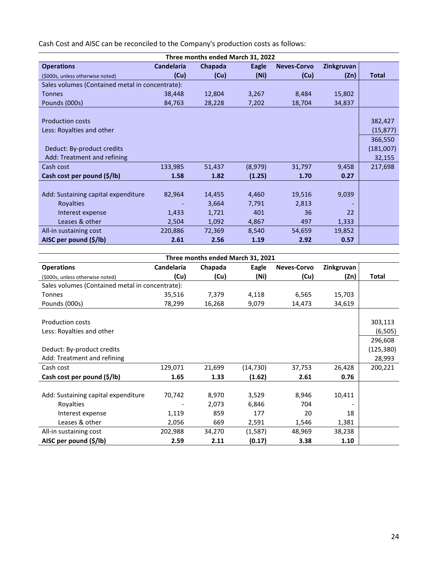Cash Cost and AISC can be reconciled to the Company's production costs as follows:

| Three months ended March 31, 2022               |                   |         |         |                    |            |              |  |  |  |
|-------------------------------------------------|-------------------|---------|---------|--------------------|------------|--------------|--|--|--|
| <b>Operations</b>                               | <b>Candelaria</b> | Chapada | Eagle   | <b>Neves-Corvo</b> | Zinkgruvan |              |  |  |  |
| (\$000s, unless otherwise noted)                | (Cu)              | (Cu)    | (Ni)    | (Cu)               | (Zn)       | <b>Total</b> |  |  |  |
| Sales volumes (Contained metal in concentrate): |                   |         |         |                    |            |              |  |  |  |
| <b>Tonnes</b>                                   | 38,448            | 12,804  | 3,267   | 8,484              | 15,802     |              |  |  |  |
| Pounds (000s)                                   | 84,763            | 28,228  | 7,202   | 18,704             | 34,837     |              |  |  |  |
|                                                 |                   |         |         |                    |            |              |  |  |  |
| <b>Production costs</b>                         |                   |         |         |                    |            | 382,427      |  |  |  |
| Less: Royalties and other                       |                   |         |         |                    |            | (15, 877)    |  |  |  |
|                                                 |                   |         |         |                    |            | 366,550      |  |  |  |
| Deduct: By-product credits                      |                   |         |         |                    |            | (181,007)    |  |  |  |
| Add: Treatment and refining                     |                   |         |         |                    |            | 32,155       |  |  |  |
| Cash cost                                       | 133,985           | 51,437  | (8,979) | 31,797             | 9,458      | 217,698      |  |  |  |
| Cash cost per pound (\$/lb)                     | 1.58              | 1.82    | (1.25)  | 1.70               | 0.27       |              |  |  |  |
|                                                 |                   |         |         |                    |            |              |  |  |  |
| Add: Sustaining capital expenditure             | 82,964            | 14,455  | 4,460   | 19,516             | 9,039      |              |  |  |  |
| <b>Royalties</b>                                |                   | 3,664   | 7,791   | 2,813              |            |              |  |  |  |
| Interest expense                                | 1,433             | 1,721   | 401     | 36                 | 22         |              |  |  |  |
| Leases & other                                  | 2,504             | 1,092   | 4,867   | 497                | 1,333      |              |  |  |  |
| All-in sustaining cost                          | 220,886           | 72,369  | 8,540   | 54,659             | 19,852     |              |  |  |  |
| AISC per pound (\$/lb)                          | 2.61              | 2.56    | 1.19    | 2.92               | 0.57       |              |  |  |  |
|                                                 |                   |         |         |                    |            |              |  |  |  |

| Three months ended March 31, 2021               |            |         |           |                    |            |            |  |  |  |
|-------------------------------------------------|------------|---------|-----------|--------------------|------------|------------|--|--|--|
| <b>Operations</b>                               | Candelaria | Chapada | Eagle     | <b>Neves-Corvo</b> | Zinkgruvan |            |  |  |  |
| (\$000s, unless otherwise noted)                | (Cu)       | (Cu)    | (Ni)      | (Cu)               | (Zn)       | Total      |  |  |  |
| Sales volumes (Contained metal in concentrate): |            |         |           |                    |            |            |  |  |  |
| <b>Tonnes</b>                                   | 35,516     | 7,379   | 4,118     | 6,565              | 15,703     |            |  |  |  |
| Pounds (000s)                                   | 78,299     | 16,268  | 9,079     | 14,473             | 34,619     |            |  |  |  |
|                                                 |            |         |           |                    |            |            |  |  |  |
| <b>Production costs</b>                         |            |         |           |                    |            | 303,113    |  |  |  |
| Less: Royalties and other                       |            |         |           |                    |            | (6, 505)   |  |  |  |
|                                                 |            |         |           |                    |            | 296,608    |  |  |  |
| Deduct: By-product credits                      |            |         |           |                    |            | (125, 380) |  |  |  |
| Add: Treatment and refining                     |            |         |           |                    |            | 28,993     |  |  |  |
| Cash cost                                       | 129,071    | 21,699  | (14, 730) | 37,753             | 26,428     | 200,221    |  |  |  |
| Cash cost per pound (\$/lb)                     | 1.65       | 1.33    | (1.62)    | 2.61               | 0.76       |            |  |  |  |
|                                                 |            |         |           |                    |            |            |  |  |  |
| Add: Sustaining capital expenditure             | 70,742     | 8,970   | 3,529     | 8,946              | 10,411     |            |  |  |  |
| Royalties                                       |            | 2,073   | 6,846     | 704                |            |            |  |  |  |
| Interest expense                                | 1,119      | 859     | 177       | 20                 | 18         |            |  |  |  |
| Leases & other                                  | 2,056      | 669     | 2,591     | 1,546              | 1,381      |            |  |  |  |
| All-in sustaining cost                          | 202,988    | 34,270  | (1,587)   | 48,969             | 38,238     |            |  |  |  |
| AISC per pound (\$/lb)                          | 2.59       | 2.11    | (0.17)    | 3.38               | 1.10       |            |  |  |  |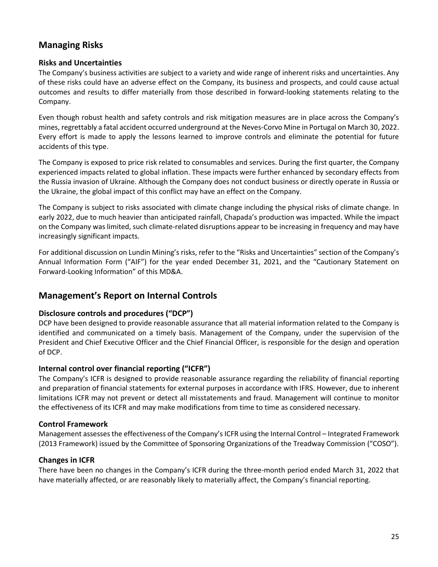# **Managing Risks**

#### **Risks and Uncertainties**

The Company's business activities are subject to a variety and wide range of inherent risks and uncertainties. Any of these risks could have an adverse effect on the Company, its business and prospects, and could cause actual outcomes and results to differ materially from those described in forward-looking statements relating to the Company.

Even though robust health and safety controls and risk mitigation measures are in place across the Company's mines, regrettably a fatal accident occurred underground at the Neves-Corvo Mine in Portugal on March 30, 2022. Every effort is made to apply the lessons learned to improve controls and eliminate the potential for future accidents of this type.

The Company is exposed to price risk related to consumables and services. During the first quarter, the Company experienced impacts related to global inflation. These impacts were further enhanced by secondary effects from the Russia invasion of Ukraine. Although the Company does not conduct business or directly operate in Russia or the Ukraine, the global impact of this conflict may have an effect on the Company.

The Company is subject to risks associated with climate change including the physical risks of climate change. In early 2022, due to much heavier than anticipated rainfall, Chapada's production was impacted. While the impact on the Company was limited, such climate-related disruptions appear to be increasing in frequency and may have increasingly significant impacts.

For additional discussion on Lundin Mining's risks, refer to the "Risks and Uncertainties" section of the Company's Annual Information Form ("AIF") for the year ended December 31, 2021, and the "Cautionary Statement on Forward-Looking Information" of this MD&A.

## **Management's Report on Internal Controls**

## **Disclosure controls and procedures ("DCP")**

DCP have been designed to provide reasonable assurance that all material information related to the Company is identified and communicated on a timely basis. Management of the Company, under the supervision of the President and Chief Executive Officer and the Chief Financial Officer, is responsible for the design and operation of DCP.

## **Internal control over financial reporting ("ICFR")**

The Company's ICFR is designed to provide reasonable assurance regarding the reliability of financial reporting and preparation of financial statements for external purposes in accordance with IFRS. However, due to inherent limitations ICFR may not prevent or detect all misstatements and fraud. Management will continue to monitor the effectiveness of its ICFR and may make modifications from time to time as considered necessary.

## **Control Framework**

Management assessesthe effectiveness of the Company's ICFR using the Internal Control – Integrated Framework (2013 Framework) issued by the Committee of Sponsoring Organizations of the Treadway Commission ("COSO").

## **Changes in ICFR**

There have been no changes in the Company's ICFR during the three-month period ended March 31, 2022 that have materially affected, or are reasonably likely to materially affect, the Company's financial reporting.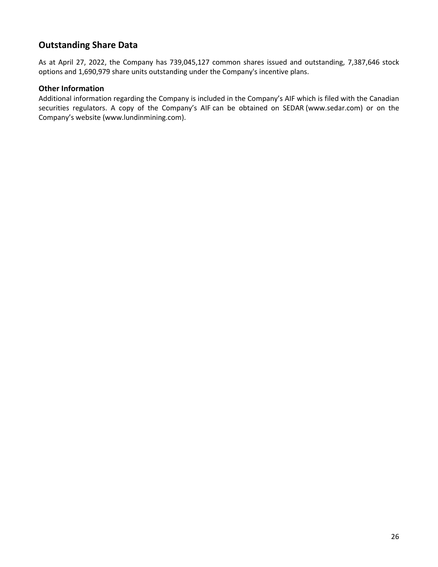# **Outstanding Share Data**

As at April 27, 2022, the Company has 739,045,127 common shares issued and outstanding, 7,387,646 stock options and 1,690,979 share units outstanding under the Company's incentive plans.

## **Other Information**

Additional information regarding the Company is included in the Company's AIF which is filed with the Canadian securities regulators. A copy of the Company's AIF can be obtained on SEDAR [\(www.sedar.com\)](http://www.sedar.com/) or on the Company's website [\(www.lundinmining.com\)](http://www.lundinmining.com/).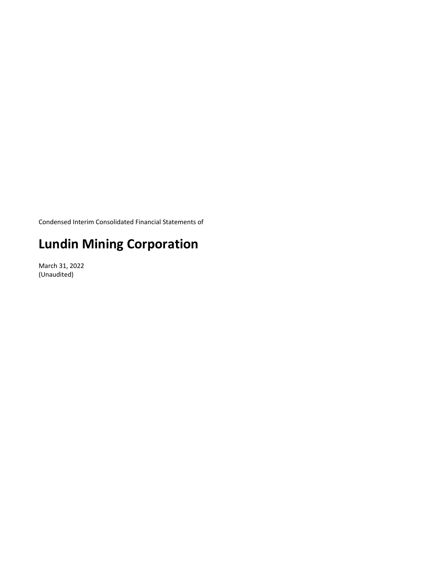Condensed Interim Consolidated Financial Statements of

# **Lundin Mining Corporation**

March 31, 2022 (Unaudited)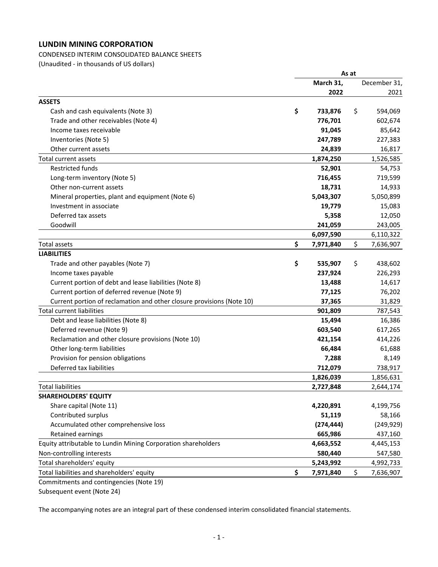CONDENSED INTERIM CONSOLIDATED BALANCE SHEETS 

(Unaudited ‐ in thousands of US dollars) 

|                                                                       |                 | As at |              |
|-----------------------------------------------------------------------|-----------------|-------|--------------|
|                                                                       | March 31,       |       | December 31, |
|                                                                       | 2022            |       | 2021         |
| <b>ASSETS</b>                                                         |                 |       |              |
| Cash and cash equivalents (Note 3)                                    | \$<br>733,876   | \$    | 594,069      |
| Trade and other receivables (Note 4)                                  | 776,701         |       | 602,674      |
| Income taxes receivable                                               | 91,045          |       | 85,642       |
| Inventories (Note 5)                                                  | 247,789         |       | 227,383      |
| Other current assets                                                  | 24,839          |       | 16,817       |
| Total current assets                                                  | 1,874,250       |       | 1,526,585    |
| <b>Restricted funds</b>                                               | 52,901          |       | 54,753       |
| Long-term inventory (Note 5)                                          | 716,455         |       | 719,599      |
| Other non-current assets                                              | 18,731          |       | 14,933       |
| Mineral properties, plant and equipment (Note 6)                      | 5,043,307       |       | 5,050,899    |
| Investment in associate                                               | 19,779          |       | 15,083       |
| Deferred tax assets                                                   | 5,358           |       | 12,050       |
| Goodwill                                                              | 241,059         |       | 243,005      |
|                                                                       | 6,097,590       |       | 6,110,322    |
| <b>Total assets</b>                                                   | \$<br>7,971,840 | \$    | 7,636,907    |
| <b>LIABILITIES</b>                                                    |                 |       |              |
| Trade and other payables (Note 7)                                     | \$<br>535,907   | \$    | 438,602      |
| Income taxes payable                                                  | 237,924         |       | 226,293      |
| Current portion of debt and lease liabilities (Note 8)                | 13,488          |       | 14,617       |
| Current portion of deferred revenue (Note 9)                          | 77,125          |       | 76,202       |
| Current portion of reclamation and other closure provisions (Note 10) | 37,365          |       | 31,829       |
| <b>Total current liabilities</b>                                      | 901,809         |       | 787,543      |
| Debt and lease liabilities (Note 8)                                   | 15,494          |       | 16,386       |
| Deferred revenue (Note 9)                                             | 603,540         |       | 617,265      |
| Reclamation and other closure provisions (Note 10)                    | 421,154         |       | 414,226      |
| Other long-term liabilities                                           | 66,484          |       | 61,688       |
| Provision for pension obligations                                     | 7,288           |       | 8,149        |
| Deferred tax liabilities                                              | 712,079         |       | 738,917      |
|                                                                       | 1,826,039       |       | 1,856,631    |
| <b>Total liabilities</b>                                              | 2,727,848       |       | 2,644,174    |
| <b>SHAREHOLDERS' EQUITY</b>                                           |                 |       |              |
| Share capital (Note 11)                                               | 4,220,891       |       | 4,199,756    |
| Contributed surplus                                                   | 51,119          |       | 58,166       |
| Accumulated other comprehensive loss                                  | (274, 444)      |       | (249, 929)   |
| Retained earnings                                                     | 665,986         |       | 437,160      |
| Equity attributable to Lundin Mining Corporation shareholders         | 4,663,552       |       | 4,445,153    |
| Non-controlling interests                                             | 580,440         |       | 547,580      |
| Total shareholders' equity                                            | 5,243,992       |       | 4,992,733    |
| Total liabilities and shareholders' equity                            | \$<br>7,971,840 | \$    | 7,636,907    |
| Commitments and contingencies (Note 19)                               |                 |       |              |

Subsequent event (Note 24)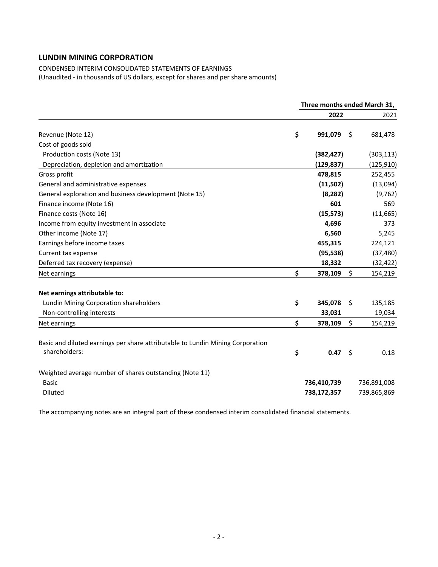CONDENSED INTERIM CONSOLIDATED STATEMENTS OF EARNINGS (Unaudited ‐ in thousands of US dollars, except for shares and per share amounts)

|                                                                                                 | Three months ended March 31, |                            |     |                            |  |
|-------------------------------------------------------------------------------------------------|------------------------------|----------------------------|-----|----------------------------|--|
|                                                                                                 |                              | 2022                       |     | 2021                       |  |
| Revenue (Note 12)                                                                               | \$                           | 991,079                    | \$  | 681,478                    |  |
| Cost of goods sold                                                                              |                              |                            |     |                            |  |
| Production costs (Note 13)                                                                      |                              | (382, 427)                 |     | (303, 113)                 |  |
| Depreciation, depletion and amortization                                                        |                              | (129, 837)                 |     | (125, 910)                 |  |
| Gross profit                                                                                    |                              | 478,815                    |     | 252,455                    |  |
| General and administrative expenses                                                             |                              | (11,502)                   |     | (13,094)                   |  |
| General exploration and business development (Note 15)                                          |                              | (8, 282)                   |     | (9, 762)                   |  |
| Finance income (Note 16)                                                                        |                              | 601                        |     | 569                        |  |
| Finance costs (Note 16)                                                                         |                              | (15, 573)                  |     | (11, 665)                  |  |
| Income from equity investment in associate                                                      |                              | 4,696                      |     | 373                        |  |
| Other income (Note 17)                                                                          |                              | 6,560                      |     | 5,245                      |  |
| Earnings before income taxes                                                                    |                              | 455,315                    |     | 224,121                    |  |
| Current tax expense                                                                             |                              | (95, 538)                  |     | (37, 480)                  |  |
| Deferred tax recovery (expense)                                                                 |                              | 18,332                     |     | (32, 422)                  |  |
| Net earnings                                                                                    | \$                           | 378,109                    | \$  | 154,219                    |  |
| Net earnings attributable to:                                                                   |                              |                            |     |                            |  |
| Lundin Mining Corporation shareholders                                                          | \$                           | 345,078                    | Ŝ.  | 135,185                    |  |
| Non-controlling interests                                                                       |                              | 33,031                     |     | 19,034                     |  |
| Net earnings                                                                                    | \$                           | 378,109                    | \$  | 154,219                    |  |
| Basic and diluted earnings per share attributable to Lundin Mining Corporation<br>shareholders: | \$                           | 0.47                       | -\$ | 0.18                       |  |
| Weighted average number of shares outstanding (Note 11)<br><b>Basic</b><br><b>Diluted</b>       |                              | 736,410,739<br>738,172,357 |     | 736,891,008<br>739,865,869 |  |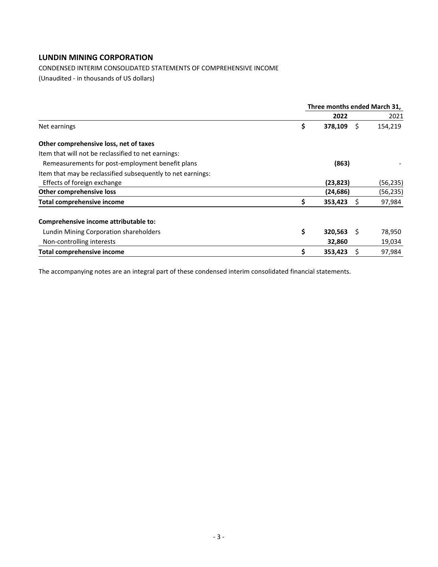CONDENSED INTERIM CONSOLIDATED STATEMENTS OF COMPREHENSIVE INCOME

(Unaudited ‐ in thousands of US dollars)

|                                                             | Three months ended March 31, |           |     |           |  |
|-------------------------------------------------------------|------------------------------|-----------|-----|-----------|--|
|                                                             |                              | 2022      |     | 2021      |  |
| Net earnings                                                | \$                           | 378,109   | S   | 154,219   |  |
| Other comprehensive loss, net of taxes                      |                              |           |     |           |  |
| Item that will not be reclassified to net earnings:         |                              |           |     |           |  |
| Remeasurements for post-employment benefit plans            |                              | (863)     |     |           |  |
| Item that may be reclassified subsequently to net earnings: |                              |           |     |           |  |
| Effects of foreign exchange                                 |                              | (23, 823) |     | (56, 235) |  |
| Other comprehensive loss                                    |                              | (24, 686) |     | (56, 235) |  |
| <b>Total comprehensive income</b>                           | \$                           | 353,423   |     | 97,984    |  |
| Comprehensive income attributable to:                       |                              |           |     |           |  |
| Lundin Mining Corporation shareholders                      | \$                           | 320,563   | - S | 78,950    |  |
| Non-controlling interests                                   |                              | 32,860    |     | 19,034    |  |
| Total comprehensive income                                  | \$                           | 353,423   |     | 97,984    |  |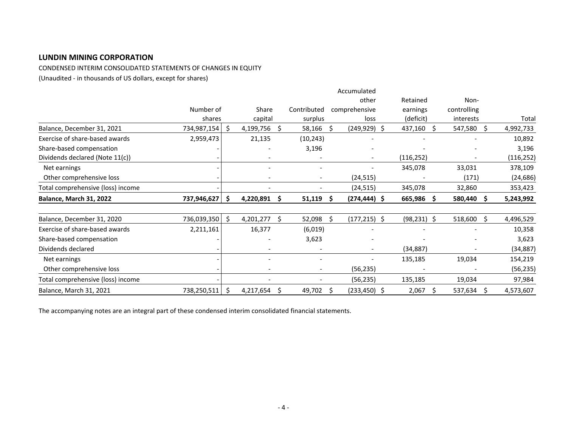CONDENSED INTERIM CONSOLIDATED STATEMENTS OF CHANGES IN EQUITY

(Unaudited ‐ in thousands of US dollars, except for shares)

|                                   |                |    |           |     |                          |    | Accumulated              |                |    |             |    |            |
|-----------------------------------|----------------|----|-----------|-----|--------------------------|----|--------------------------|----------------|----|-------------|----|------------|
|                                   |                |    |           |     |                          |    | other                    | Retained       |    | Non-        |    |            |
|                                   | Number of      |    | Share     |     | Contributed              |    | comprehensive            | earnings       |    | controlling |    |            |
|                                   | shares         |    | capital   |     | surplus                  |    | loss                     | (deficit)      |    | interests   |    | Total      |
| Balance, December 31, 2021        | 734,987,154    | -S | 4,199,756 | \$. | 58,166                   | \$ | $(249, 929)$ \$          | 437,160        | S  | 547,580     | \$ | 4,992,733  |
| Exercise of share-based awards    | 2,959,473      |    | 21,135    |     | (10, 243)                |    |                          |                |    |             |    | 10,892     |
| Share-based compensation          |                |    |           |     | 3,196                    |    |                          |                |    |             |    | 3,196      |
| Dividends declared (Note 11(c))   |                |    |           |     |                          |    | $\overline{\phantom{a}}$ | (116, 252)     |    |             |    | (116, 252) |
| Net earnings                      |                |    |           |     |                          |    |                          | 345,078        |    | 33,031      |    | 378,109    |
| Other comprehensive loss          |                |    |           |     | $\overline{\phantom{a}}$ |    | (24, 515)                |                |    | (171)       |    | (24, 686)  |
| Total comprehensive (loss) income |                |    |           |     |                          |    | (24,515)                 | 345,078        |    | 32,860      |    | 353,423    |
| Balance, March 31, 2022           | 737,946,627    | -S | 4,220,891 | S   | 51,119                   | -S | $(274, 444)$ \$          | 665,986        | S  | 580,440     | S. | 5,243,992  |
| Balance, December 31, 2020        | 736,039,350 \$ |    | 4,201,277 | S   | 52,098                   |    | $(177, 215)$ \$          | $(98, 231)$ \$ |    | 518,600     | S  | 4,496,529  |
| Exercise of share-based awards    | 2,211,161      |    | 16,377    |     | (6,019)                  |    |                          |                |    |             |    | 10,358     |
| Share-based compensation          |                |    |           |     | 3,623                    |    |                          |                |    |             |    | 3,623      |
| Dividends declared                |                |    |           |     |                          |    | $\overline{\phantom{a}}$ | (34, 887)      |    |             |    | (34, 887)  |
| Net earnings                      |                |    |           |     | $\overline{\phantom{a}}$ |    |                          | 135,185        |    | 19,034      |    | 154,219    |
| Other comprehensive loss          |                |    |           |     |                          |    | (56, 235)                |                |    |             |    | (56, 235)  |
| Total comprehensive (loss) income |                |    |           |     |                          |    | (56, 235)                | 135,185        |    | 19,034      |    | 97,984     |
| Balance, March 31, 2021           | 738,250,511    | \$ | 4,217,654 | S   | 49,702                   | S  | (233,450) \$             | 2,067          | Ŝ. | 537,634     | Ŝ. | 4,573,607  |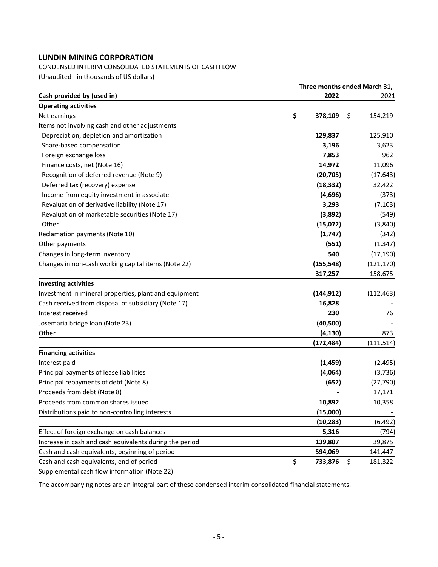#### CONDENSED INTERIM CONSOLIDATED STATEMENTS OF CASH FLOW

(Unaudited ‐ in thousands of US dollars)

|                                                         |    | Three months ended March 31, |    |            |  |  |  |  |
|---------------------------------------------------------|----|------------------------------|----|------------|--|--|--|--|
| Cash provided by (used in)                              |    | 2022                         |    | 2021       |  |  |  |  |
| <b>Operating activities</b>                             |    |                              |    |            |  |  |  |  |
| Net earnings                                            | \$ | 378,109                      | \$ | 154,219    |  |  |  |  |
| Items not involving cash and other adjustments          |    |                              |    |            |  |  |  |  |
| Depreciation, depletion and amortization                |    | 129,837                      |    | 125,910    |  |  |  |  |
| Share-based compensation                                |    | 3,196                        |    | 3,623      |  |  |  |  |
| Foreign exchange loss                                   |    | 7,853                        |    | 962        |  |  |  |  |
| Finance costs, net (Note 16)                            |    | 14,972                       |    | 11,096     |  |  |  |  |
| Recognition of deferred revenue (Note 9)                |    | (20, 705)                    |    | (17, 643)  |  |  |  |  |
| Deferred tax (recovery) expense                         |    | (18, 332)                    |    | 32,422     |  |  |  |  |
| Income from equity investment in associate              |    | (4,696)                      |    | (373)      |  |  |  |  |
| Revaluation of derivative liability (Note 17)           |    | 3,293                        |    | (7, 103)   |  |  |  |  |
| Revaluation of marketable securities (Note 17)          |    | (3,892)                      |    | (549)      |  |  |  |  |
| Other                                                   |    | (15,072)                     |    | (3,840)    |  |  |  |  |
| Reclamation payments (Note 10)                          |    | (1,747)                      |    | (342)      |  |  |  |  |
| Other payments                                          |    | (551)                        |    | (1, 347)   |  |  |  |  |
| Changes in long-term inventory                          |    | 540                          |    | (17, 190)  |  |  |  |  |
| Changes in non-cash working capital items (Note 22)     |    | (155, 548)                   |    | (121, 170) |  |  |  |  |
|                                                         |    | 317,257                      |    | 158,675    |  |  |  |  |
| <b>Investing activities</b>                             |    |                              |    |            |  |  |  |  |
| Investment in mineral properties, plant and equipment   |    | (144, 912)                   |    | (112, 463) |  |  |  |  |
| Cash received from disposal of subsidiary (Note 17)     |    | 16,828                       |    |            |  |  |  |  |
| Interest received                                       |    | 230                          |    | 76         |  |  |  |  |
| Josemaria bridge Ioan (Note 23)                         |    | (40, 500)                    |    |            |  |  |  |  |
| Other                                                   |    | (4, 130)                     |    | 873        |  |  |  |  |
|                                                         |    | (172, 484)                   |    | (111, 514) |  |  |  |  |
| <b>Financing activities</b>                             |    |                              |    |            |  |  |  |  |
| Interest paid                                           |    | (1, 459)                     |    | (2, 495)   |  |  |  |  |
| Principal payments of lease liabilities                 |    | (4,064)                      |    | (3,736)    |  |  |  |  |
| Principal repayments of debt (Note 8)                   |    | (652)                        |    | (27, 790)  |  |  |  |  |
| Proceeds from debt (Note 8)                             |    |                              |    | 17,171     |  |  |  |  |
| Proceeds from common shares issued                      |    | 10,892                       |    | 10,358     |  |  |  |  |
| Distributions paid to non-controlling interests         |    | (15,000)                     |    |            |  |  |  |  |
|                                                         |    | (10, 283)                    |    | (6, 492)   |  |  |  |  |
| Effect of foreign exchange on cash balances             |    | 5,316                        |    | (794)      |  |  |  |  |
| Increase in cash and cash equivalents during the period |    | 139,807                      |    | 39,875     |  |  |  |  |
| Cash and cash equivalents, beginning of period          |    | 594,069                      |    | 141,447    |  |  |  |  |
| Cash and cash equivalents, end of period                | \$ | 733,876                      | \$ | 181,322    |  |  |  |  |
|                                                         |    |                              |    |            |  |  |  |  |

Supplemental cash flow information (Note 22)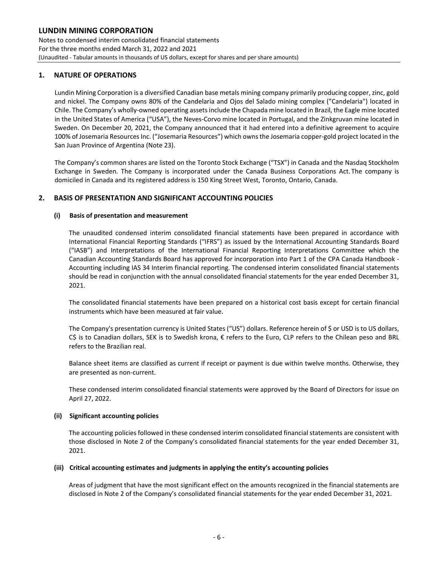Notes to condensed interim consolidated financial statements For the three months ended March 31, 2022 and 2021 (Unaudited ‐ Tabular amounts in thousands of US dollars, except for shares and per share amounts)

#### **1. NATURE OF OPERATIONS**

Lundin Mining Corporation is a diversified Canadian base metals mining company primarily producing copper, zinc, gold and nickel. The Company owns 80% of the Candelaria and Ojos del Salado mining complex ("Candelaria") located in Chile. The Company's wholly‐owned operating assetsinclude the Chapada mine located in Brazil, the Eagle mine located in the United States of America ("USA"), the Neves‐Corvo mine located in Portugal, and the Zinkgruvan mine located in Sweden. On December 20, 2021, the Company announced that it had entered into a definitive agreement to acquire 100% of Josemaria Resources Inc. ("Josemaria Resources") which owns the Josemaria copper-gold project located in the San Juan Province of Argentina (Note 23).

The Company's common shares are listed on the Toronto Stock Exchange ("TSX") in Canada and the Nasdaq Stockholm Exchange in Sweden. The Company is incorporated under the Canada Business Corporations Act. The company is domiciled in Canada and its registered address is 150 King Street West, Toronto, Ontario, Canada.

#### **2. BASIS OF PRESENTATION AND SIGNIFICANT ACCOUNTING POLICIES**

#### **(i) Basis of presentation and measurement**

The unaudited condensed interim consolidated financial statements have been prepared in accordance with International Financial Reporting Standards ("IFRS") as issued by the International Accounting Standards Board ("IASB") and Interpretations of the International Financial Reporting Interpretations Committee which the Canadian Accounting Standards Board has approved for incorporation into Part 1 of the CPA Canada Handbook ‐ Accounting including IAS 34 Interim financial reporting. The condensed interim consolidated financial statements should be read in conjunction with the annual consolidated financial statements for the year ended December 31, 2021.

The consolidated financial statements have been prepared on a historical cost basis except for certain financial instruments which have been measured at fair value.

The Company's presentation currency is United States ("US") dollars. Reference herein of \$ or USD is to US dollars, C\$ is to Canadian dollars, SEK is to Swedish krona, € refers to the Euro, CLP refers to the Chilean peso and BRL refers to the Brazilian real.

Balance sheet items are classified as current if receipt or payment is due within twelve months. Otherwise, they are presented as non‐current.

These condensed interim consolidated financial statements were approved by the Board of Directors for issue on April 27, 2022.

#### **(ii) Significant accounting policies**

The accounting policies followed in these condensed interim consolidated financial statements are consistent with those disclosed in Note 2 of the Company's consolidated financial statements for the year ended December 31, 2021.

#### **(iii) Critical accounting estimates and judgments in applying the entity's accounting policies**

Areas of judgment that have the most significant effect on the amounts recognized in the financial statements are disclosed in Note 2 of the Company's consolidated financial statements for the year ended December 31, 2021.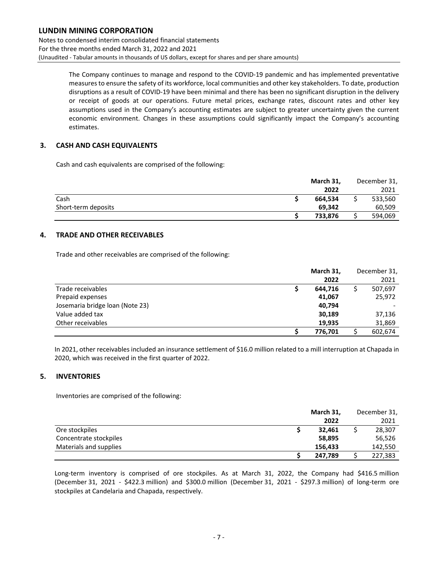Notes to condensed interim consolidated financial statements For the three months ended March 31, 2022 and 2021 (Unaudited ‐ Tabular amounts in thousands of US dollars, except for shares and per share amounts)

> The Company continues to manage and respond to the COVID‐19 pandemic and has implemented preventative measuresto ensure the safety of its workforce, local communities and other key stakeholders. To date, production disruptions as a result of COVID‐19 have been minimal and there has been no significant disruption in the delivery or receipt of goods at our operations. Future metal prices, exchange rates, discount rates and other key assumptions used in the Company's accounting estimates are subject to greater uncertainty given the current economic environment. Changes in these assumptions could significantly impact the Company's accounting estimates.

#### **3. CASH AND CASH EQUIVALENTS**

Cash and cash equivalents are comprised of the following:

| March 31, | December 31, |
|-----------|--------------|
| 2022      | 2021         |
| 664.534   | 533,560      |
| 69.342    | 60,509       |
| 733.876   | 594,069      |
|           |              |

#### **4. TRADE AND OTHER RECEIVABLES**

Trade and other receivables are comprised of the following:

|                                 | March 31, | December 31, |
|---------------------------------|-----------|--------------|
|                                 | 2022      | 2021         |
| Trade receivables               | 644,716   | 507,697      |
| Prepaid expenses                | 41,067    | 25,972       |
| Josemaria bridge loan (Note 23) | 40,794    |              |
| Value added tax                 | 30,189    | 37,136       |
| Other receivables               | 19,935    | 31,869       |
|                                 | 776,701   | 602,674      |

In 2021, other receivables included an insurance settlement of \$16.0 million related to a mill interruption at Chapada in 2020, which was received in the first quarter of 2022.

#### **5. INVENTORIES**

Inventories are comprised of the following:

|                        | March 31, | December 31, |
|------------------------|-----------|--------------|
|                        | 2022      | 2021         |
| Ore stockpiles         | 32.461    | 28,307       |
| Concentrate stockpiles | 58,895    | 56,526       |
| Materials and supplies | 156,433   | 142,550      |
|                        | 247.789   | 227,383      |

Long-term inventory is comprised of ore stockpiles. As at March 31, 2022, the Company had \$416.5 million (December 31, 2021 ‐ \$422.3 million) and \$300.0 million (December 31, 2021 ‐ \$297.3 million) of long‐term ore stockpiles at Candelaria and Chapada, respectively.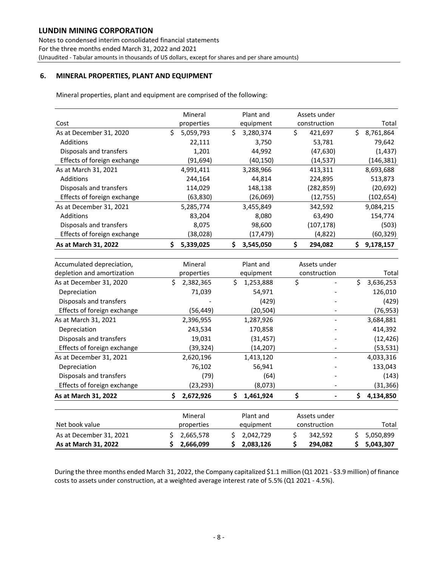Notes to condensed interim consolidated financial statements For the three months ended March 31, 2022 and 2021 (Unaudited ‐ Tabular amounts in thousands of US dollars, except for shares and per share amounts)

#### **6. MINERAL PROPERTIES, PLANT AND EQUIPMENT**

Mineral properties, plant and equipment are comprised of the following:

| As at March 31, 2022        | \$<br>5,339,025 | \$<br>3,545,050 | 294,082       | \$<br>9,178,157 |
|-----------------------------|-----------------|-----------------|---------------|-----------------|
| Effects of foreign exchange | (38,028)        | (17, 479)       | (4,822)       | (60, 329)       |
| Disposals and transfers     | 8,075           | 98,600          | (107, 178)    | (503)           |
| Additions                   | 83,204          | 8,080           | 63,490        | 154,774         |
| As at December 31, 2021     | 5,285,774       | 3,455,849       | 342,592       | 9,084,215       |
| Effects of foreign exchange | (63, 830)       | (26,069)        | (12,755)      | (102,654)       |
| Disposals and transfers     | 114,029         | 148,138         | (282, 859)    | (20, 692)       |
| Additions                   | 244,164         | 44,814          | 224,895       | 513,873         |
| As at March 31, 2021        | 4,991,411       | 3,288,966       | 413,311       | 8,693,688       |
| Effects of foreign exchange | (91,694)        | (40, 150)       | (14,537)      | (146,381)       |
| Disposals and transfers     | 1,201           | 44,992          | (47,630)      | (1, 437)        |
| Additions                   | 22,111          | 3,750           | 53,781        | 79,642          |
| As at December 31, 2020     | \$<br>5,059,793 | \$<br>3,280,374 | \$<br>421,697 | Ś.<br>8,761,864 |
| Cost                        | properties      | equipment       | construction  | Total           |
|                             | Mineral         | Plant and       | Assets under  |                 |

| Accumulated depreciation,   | Mineral         | Plant and       | Assets under                       |                 |
|-----------------------------|-----------------|-----------------|------------------------------------|-----------------|
| depletion and amortization  | properties      | equipment       | construction                       | Total           |
| As at December 31, 2020     | Ś.<br>2,382,365 | Ś.<br>1,253,888 | \$<br>$\qquad \qquad \blacksquare$ | \$<br>3,636,253 |
| Depreciation                | 71,039          | 54,971          |                                    | 126,010         |
| Disposals and transfers     |                 | (429)           |                                    | (429)           |
| Effects of foreign exchange | (56,449)        | (20, 504)       |                                    | (76, 953)       |
| As at March 31, 2021        | 2,396,955       | 1,287,926       |                                    | 3,684,881       |
| Depreciation                | 243,534         | 170,858         |                                    | 414,392         |
| Disposals and transfers     | 19,031          | (31, 457)       |                                    | (12, 426)       |
| Effects of foreign exchange | (39,324)        | (14, 207)       |                                    | (53, 531)       |
| As at December 31, 2021     | 2,620,196       | 1,413,120       |                                    | 4,033,316       |
| Depreciation                | 76,102          | 56,941          |                                    | 133,043         |
| Disposals and transfers     | (79)            | (64)            |                                    | (143)           |
| Effects of foreign exchange | (23,293)        | (8,073)         |                                    | (31, 366)       |
| As at March 31, 2022        | 2,672,926<br>S. | \$<br>1,461,924 | \$                                 | Ś.<br>4,134,850 |
|                             | Mineral         | Plant and       | Assets under                       |                 |
| Net book value              | properties      | equipment       | construction                       | Total           |
| As at December 31, 2021     | Ś.<br>2,665,578 | Ś.<br>2,042,729 | \$<br>342,592                      | \$<br>5,050,899 |
| As at March 31, 2022        | 2,666,099<br>\$ | 2,083,126<br>S. | 294,082<br>\$                      | 5,043,307<br>S  |

During the three months ended March 31, 2022, the Company capitalized \$1.1 million (Q1 2021 ‐ \$3.9 million) of finance costs to assets under construction, at a weighted average interest rate of 5.5% (Q1 2021 ‐ 4.5%).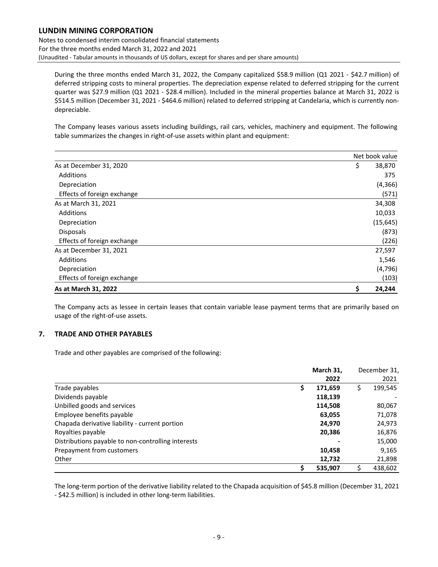Notes to condensed interim consolidated financial statements For the three months ended March 31, 2022 and 2021 (Unaudited ‐ Tabular amounts in thousands of US dollars, except for shares and per share amounts)

During the three months ended March 31, 2022, the Company capitalized \$58.9 million (Q1 2021 - \$42.7 million) of deferred stripping costs to mineral properties. The depreciation expense related to deferred stripping for the current quarter was \$27.9 million (Q1 2021 ‐ \$28.4 million). Included in the mineral properties balance at March 31, 2022 is \$514.5 million (December 31, 2021 - \$464.6 million) related to deferred stripping at Candelaria, which is currently nondepreciable.

The Company leases various assets including buildings, rail cars, vehicles, machinery and equipment. The following table summarizes the changes in right‐of‐use assets within plant and equipment:

|                             | Net book value |
|-----------------------------|----------------|
| As at December 31, 2020     | \$<br>38,870   |
| Additions                   | 375            |
| Depreciation                | (4, 366)       |
| Effects of foreign exchange | (571)          |
| As at March 31, 2021        | 34,308         |
| Additions                   | 10,033         |
| Depreciation                | (15, 645)      |
| <b>Disposals</b>            | (873)          |
| Effects of foreign exchange | (226)          |
| As at December 31, 2021     | 27,597         |
| Additions                   | 1,546          |
| Depreciation                | (4, 796)       |
| Effects of foreign exchange | (103)          |
| As at March 31, 2022        | \$<br>24,244   |

The Company acts as lessee in certain leases that contain variable lease payment terms that are primarily based on usage of the right‐of‐use assets.

#### **7. TRADE AND OTHER PAYABLES**

Trade and other payables are comprised of the following:

|                                                    | March 31,     | December 31, |         |
|----------------------------------------------------|---------------|--------------|---------|
|                                                    | 2022          |              | 2021    |
| Trade payables                                     | \$<br>171,659 | \$           | 199,545 |
| Dividends payable                                  | 118,139       |              |         |
| Unbilled goods and services                        | 114,508       |              | 80,067  |
| Employee benefits payable                          | 63,055        |              | 71,078  |
| Chapada derivative liability - current portion     | 24,970        |              | 24,973  |
| Royalties payable                                  | 20,386        |              | 16,876  |
| Distributions payable to non-controlling interests |               |              | 15,000  |
| Prepayment from customers                          | 10,458        |              | 9,165   |
| Other                                              | 12,732        |              | 21,898  |
|                                                    | \$<br>535,907 |              | 438,602 |

The long-term portion of the derivative liability related to the Chapada acquisition of \$45.8 million (December 31, 2021 ‐ \$42.5 million) is included in other long‐term liabilities.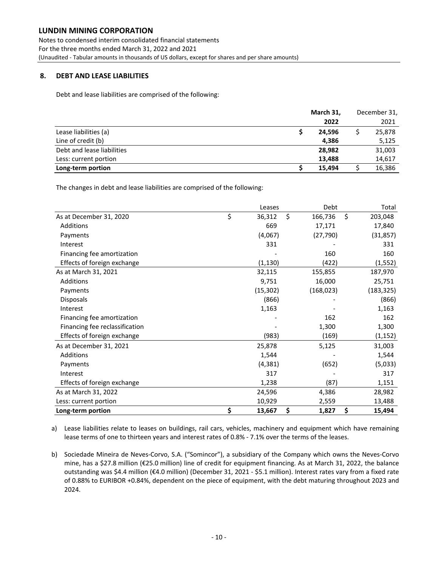Notes to condensed interim consolidated financial statements For the three months ended March 31, 2022 and 2021 (Unaudited ‐ Tabular amounts in thousands of US dollars, except for shares and per share amounts)

#### **8. DEBT AND LEASE LIABILITIES**

Debt and lease liabilities are comprised of the following:

|                            | March 31, |  | December 31, |  |
|----------------------------|-----------|--|--------------|--|
|                            | 2022      |  | 2021         |  |
| Lease liabilities (a)      | 24,596    |  | 25,878       |  |
| Line of credit (b)         | 4,386     |  | 5,125        |  |
| Debt and lease liabilities | 28,982    |  | 31,003       |  |
| Less: current portion      | 13,488    |  | 14,617       |  |
| Long-term portion          | 15.494    |  | 16,386       |  |

The changes in debt and lease liabilities are comprised of the following:

|                                | Leases       | Debt          |    | Total      |
|--------------------------------|--------------|---------------|----|------------|
| As at December 31, 2020        | \$<br>36,312 | \$<br>166,736 | Ŝ. | 203,048    |
| Additions                      | 669          | 17,171        |    | 17,840     |
| Payments                       | (4,067)      | (27, 790)     |    | (31, 857)  |
| Interest                       | 331          |               |    | 331        |
| Financing fee amortization     |              | 160           |    | 160        |
| Effects of foreign exchange    | (1, 130)     | (422)         |    | (1, 552)   |
| As at March 31, 2021           | 32,115       | 155,855       |    | 187,970    |
| Additions                      | 9,751        | 16,000        |    | 25,751     |
| Payments                       | (15, 302)    | (168, 023)    |    | (183, 325) |
| Disposals                      | (866)        |               |    | (866)      |
| Interest                       | 1,163        |               |    | 1,163      |
| Financing fee amortization     |              | 162           |    | 162        |
| Financing fee reclassification |              | 1,300         |    | 1,300      |
| Effects of foreign exchange    | (983)        | (169)         |    | (1, 152)   |
| As at December 31, 2021        | 25,878       | 5,125         |    | 31,003     |
| <b>Additions</b>               | 1,544        |               |    | 1,544      |
| Payments                       | (4, 381)     | (652)         |    | (5,033)    |
| Interest                       | 317          |               |    | 317        |
| Effects of foreign exchange    | 1,238        | (87)          |    | 1,151      |
| As at March 31, 2022           | 24,596       | 4,386         |    | 28,982     |
| Less: current portion          | 10,929       | 2,559         |    | 13,488     |
| Long-term portion              | \$<br>13,667 | \$<br>1,827   | \$ | 15,494     |

a) Lease liabilities relate to leases on buildings, rail cars, vehicles, machinery and equipment which have remaining lease terms of one to thirteen years and interest rates of 0.8% ‐ 7.1% over the terms of the leases.

b) Sociedade Mineira de Neves‐Corvo, S.A. ("Somincor"), a subsidiary of the Company which owns the Neves‐Corvo mine, has a \$27.8 million (€25.0 million) line of credit for equipment financing. As at March 31, 2022, the balance outstanding was \$4.4 million (€4.0 million) (December 31, 2021 ‐ \$5.1 million). Interest rates vary from a fixed rate of 0.88% to EURIBOR +0.84%, dependent on the piece of equipment, with the debt maturing throughout 2023 and 2024.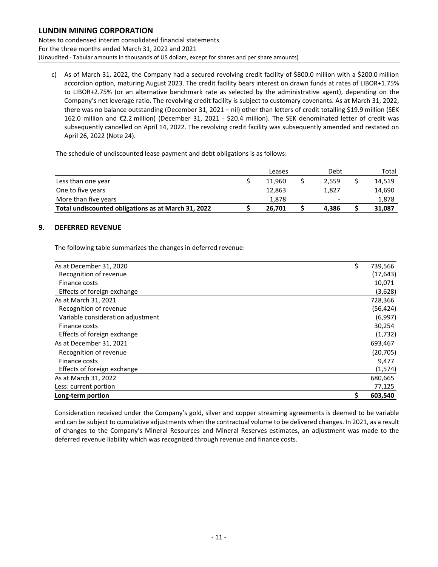Notes to condensed interim consolidated financial statements For the three months ended March 31, 2022 and 2021 (Unaudited ‐ Tabular amounts in thousands of US dollars, except for shares and per share amounts)

c) As of March 31, 2022, the Company had a secured revolving credit facility of \$800.0 million with a \$200.0 million accordion option, maturing August 2023. The credit facility bears interest on drawn funds at rates of LIBOR+1.75% to LIBOR+2.75% (or an alternative benchmark rate as selected by the administrative agent), depending on the Company's net leverage ratio. The revolving credit facility is subject to customary covenants. As at March 31, 2022, there was no balance outstanding (December 31, 2021 – nil) other than letters of credit totalling \$19.9 million (SEK 162.0 million and €2.2 million) (December 31, 2021 ‐ \$20.4 million). The SEK denominated letter of credit was subsequently cancelled on April 14, 2022. The revolving credit facility was subsequently amended and restated on April 26, 2022 (Note 24).

The schedule of undiscounted lease payment and debt obligations is as follows:

|                                                     | Leases | Debt                     | Total  |
|-----------------------------------------------------|--------|--------------------------|--------|
| Less than one year                                  | 11.960 | 2.559                    | 14,519 |
| One to five years                                   | 12,863 | 1,827                    | 14,690 |
| More than five years                                | 1,878  | $\overline{\phantom{a}}$ | 1,878  |
| Total undiscounted obligations as at March 31, 2022 | 26.701 | 4.386                    | 31,087 |

#### **9. DEFERRED REVENUE**

The following table summarizes the changes in deferred revenue:

| As at December 31, 2020           | \$<br>739,566 |
|-----------------------------------|---------------|
| Recognition of revenue            | (17, 643)     |
| Finance costs                     | 10,071        |
| Effects of foreign exchange       | (3,628)       |
| As at March 31, 2021              | 728,366       |
| Recognition of revenue            | (56, 424)     |
| Variable consideration adjustment | (6,997)       |
| Finance costs                     | 30,254        |
| Effects of foreign exchange       | (1, 732)      |
| As at December 31, 2021           | 693,467       |
| Recognition of revenue            | (20, 705)     |
| Finance costs                     | 9,477         |
| Effects of foreign exchange       | (1, 574)      |
| As at March 31, 2022              | 680,665       |
| Less: current portion             | 77,125        |
| Long-term portion                 | 603,540       |

Consideration received under the Company's gold, silver and copper streaming agreements is deemed to be variable and can be subject to cumulative adjustments when the contractual volume to be delivered changes. In 2021, as a result of changes to the Company's Mineral Resources and Mineral Reserves estimates, an adjustment was made to the deferred revenue liability which was recognized through revenue and finance costs.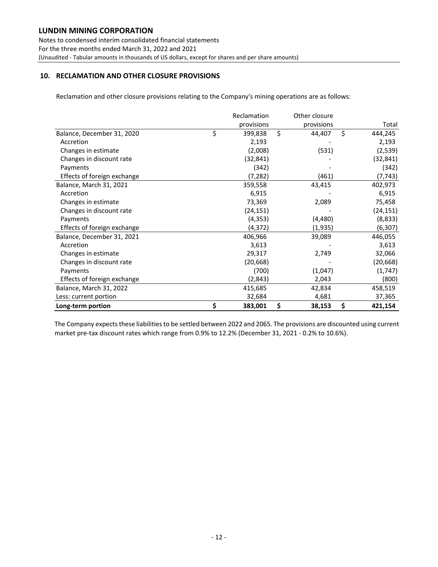Notes to condensed interim consolidated financial statements For the three months ended March 31, 2022 and 2021 (Unaudited ‐ Tabular amounts in thousands of US dollars, except for shares and per share amounts)

#### **10. RECLAMATION AND OTHER CLOSURE PROVISIONS**

Reclamation and other closure provisions relating to the Company's mining operations are as follows:

|                             | Reclamation   | Other closure |               |
|-----------------------------|---------------|---------------|---------------|
|                             | provisions    | provisions    | Total         |
| Balance, December 31, 2020  | \$<br>399,838 | \$<br>44,407  | \$<br>444,245 |
| Accretion                   | 2,193         |               | 2,193         |
| Changes in estimate         | (2,008)       | (531)         | (2,539)       |
| Changes in discount rate    | (32,841)      |               | (32, 841)     |
| Payments                    | (342)         |               | (342)         |
| Effects of foreign exchange | (7,282)       | (461)         | (7, 743)      |
| Balance, March 31, 2021     | 359,558       | 43,415        | 402,973       |
| Accretion                   | 6,915         |               | 6,915         |
| Changes in estimate         | 73,369        | 2,089         | 75,458        |
| Changes in discount rate    | (24, 151)     |               | (24, 151)     |
| Payments                    | (4, 353)      | (4,480)       | (8,833)       |
| Effects of foreign exchange | (4, 372)      | (1,935)       | (6, 307)      |
| Balance, December 31, 2021  | 406,966       | 39,089        | 446,055       |
| Accretion                   | 3,613         |               | 3,613         |
| Changes in estimate         | 29,317        | 2,749         | 32,066        |
| Changes in discount rate    | (20,668)      |               | (20, 668)     |
| Payments                    | (700)         | (1,047)       | (1,747)       |
| Effects of foreign exchange | (2,843)       | 2,043         | (800)         |
| Balance, March 31, 2022     | 415,685       | 42,834        | 458,519       |
| Less: current portion       | 32,684        | 4,681         | 37,365        |
| Long-term portion           | \$<br>383,001 | \$<br>38,153  | \$<br>421,154 |

The Company expects these liabilities to be settled between 2022 and 2065. The provisions are discounted using current market pre-tax discount rates which range from 0.9% to 12.2% (December 31, 2021 - 0.2% to 10.6%).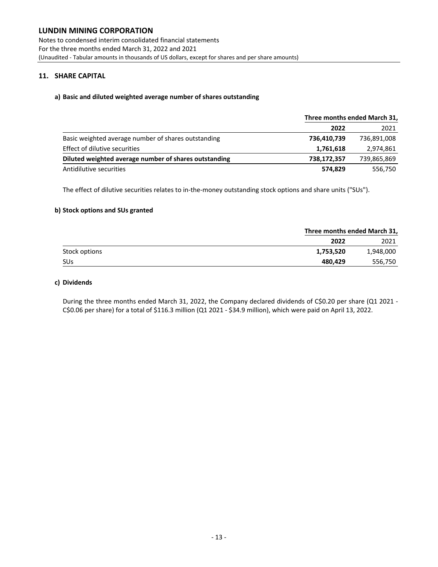Notes to condensed interim consolidated financial statements For the three months ended March 31, 2022 and 2021 (Unaudited ‐ Tabular amounts in thousands of US dollars, except for shares and per share amounts)

#### **11. SHARE CAPITAL**

#### **a) Basic and diluted weighted average number of shares outstanding**

|                                                       |             | Three months ended March 31, |  |  |  |
|-------------------------------------------------------|-------------|------------------------------|--|--|--|
|                                                       | 2022        | 2021                         |  |  |  |
| Basic weighted average number of shares outstanding   | 736,410,739 | 736,891,008                  |  |  |  |
| Effect of dilutive securities                         | 1,761,618   | 2,974,861                    |  |  |  |
| Diluted weighted average number of shares outstanding | 738,172,357 | 739,865,869                  |  |  |  |
| Antidilutive securities                               | 574,829     | 556,750                      |  |  |  |

The effect of dilutive securities relates to in-the-money outstanding stock options and share units ("SUs").

#### **b) Stock options and SUs granted**

|                       |           | Three months ended March 31, |  |  |  |
|-----------------------|-----------|------------------------------|--|--|--|
|                       | 2022      | 2021                         |  |  |  |
| Stock options         | 1,753,520 | 1,948,000                    |  |  |  |
| <b>SU<sub>s</sub></b> | 480,429   | 556,750                      |  |  |  |

#### **c) Dividends**

During the three months ended March 31, 2022, the Company declared dividends of C\$0.20 per share (Q1 2021 -C\$0.06 per share) for <sup>a</sup> total of \$116.3 million (Q1 <sup>2021</sup> ‐ \$34.9 million), which were paid on April 13, 2022.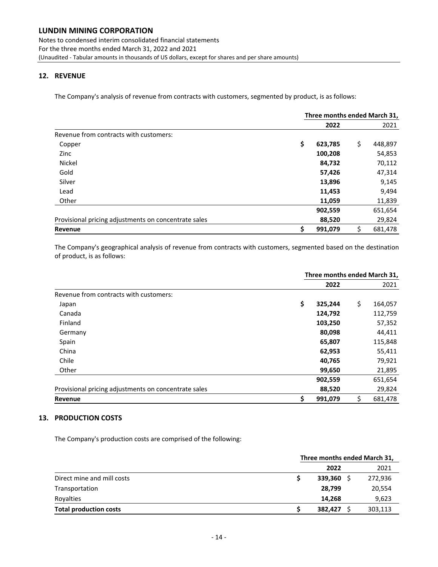#### **12. REVENUE**

The Company's analysis of revenue from contracts with customers, segmented by product, is as follows:

|                                                      | Three months ended March 31, |         |    |         |  |
|------------------------------------------------------|------------------------------|---------|----|---------|--|
|                                                      |                              | 2022    |    | 2021    |  |
| Revenue from contracts with customers:               |                              |         |    |         |  |
| Copper                                               | \$                           | 623,785 | \$ | 448,897 |  |
| Zinc                                                 |                              | 100,208 |    | 54,853  |  |
| Nickel                                               |                              | 84,732  |    | 70,112  |  |
| Gold                                                 |                              | 57,426  |    | 47,314  |  |
| Silver                                               |                              | 13,896  |    | 9,145   |  |
| Lead                                                 |                              | 11,453  |    | 9,494   |  |
| Other                                                |                              | 11,059  |    | 11,839  |  |
|                                                      |                              | 902,559 |    | 651,654 |  |
| Provisional pricing adjustments on concentrate sales |                              | 88,520  |    | 29,824  |  |
| Revenue                                              | \$                           | 991,079 | \$ | 681,478 |  |

The Company's geographical analysis of revenue from contracts with customers, segmented based on the destination of product, is as follows:

| Three months ended March 31, |         |    |         |
|------------------------------|---------|----|---------|
|                              | 2022    |    | 2021    |
|                              |         |    |         |
| \$                           | 325,244 | \$ | 164,057 |
|                              | 124,792 |    | 112,759 |
|                              | 103,250 |    | 57,352  |
|                              | 80,098  |    | 44,411  |
|                              | 65,807  |    | 115,848 |
|                              | 62,953  |    | 55,411  |
|                              | 40,765  |    | 79,921  |
|                              | 99,650  |    | 21,895  |
|                              | 902,559 |    | 651,654 |
|                              | 88,520  |    | 29,824  |
| \$                           | 991,079 | \$ | 681,478 |
|                              |         |    |         |

#### **13. PRODUCTION COSTS**

The Company's production costs are comprised of the following:

|                               | Three months ended March 31, |         |  |  |  |
|-------------------------------|------------------------------|---------|--|--|--|
|                               | 2022                         | 2021    |  |  |  |
| Direct mine and mill costs    | 339,360                      | 272,936 |  |  |  |
| Transportation                | 28,799                       | 20,554  |  |  |  |
| Royalties                     | 14.268                       | 9,623   |  |  |  |
| <b>Total production costs</b> | 382,427                      | 303,113 |  |  |  |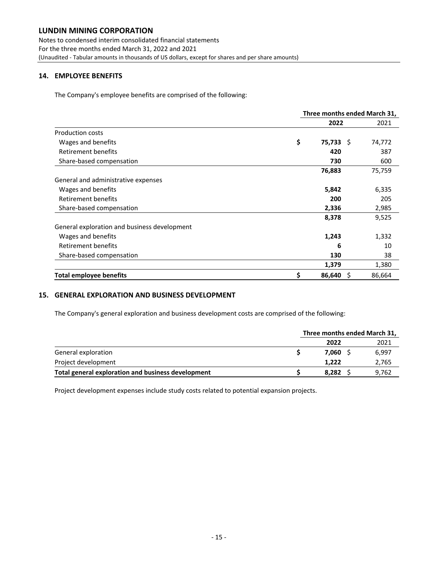Notes to condensed interim consolidated financial statements For the three months ended March 31, 2022 and 2021 (Unaudited ‐ Tabular amounts in thousands of US dollars, except for shares and per share amounts)

#### **14. EMPLOYEE BENEFITS**

The Company's employee benefits are comprised of the following:

|                                              | Three months ended March 31, |              |        |  |
|----------------------------------------------|------------------------------|--------------|--------|--|
|                                              |                              | 2022         | 2021   |  |
| Production costs                             |                              |              |        |  |
| Wages and benefits                           | \$                           | $75,733$ \$  | 74,772 |  |
| <b>Retirement benefits</b>                   |                              | 420          | 387    |  |
| Share-based compensation                     |                              | 730          | 600    |  |
|                                              |                              | 76,883       | 75,759 |  |
| General and administrative expenses          |                              |              |        |  |
| Wages and benefits                           |                              | 5,842        | 6,335  |  |
| Retirement benefits                          |                              | 200          | 205    |  |
| Share-based compensation                     |                              | 2,336        | 2,985  |  |
|                                              |                              | 8,378        | 9,525  |  |
| General exploration and business development |                              |              |        |  |
| Wages and benefits                           |                              | 1,243        | 1,332  |  |
| Retirement benefits                          |                              | 6            | 10     |  |
| Share-based compensation                     |                              | 130          | 38     |  |
|                                              |                              | 1,379        | 1,380  |  |
| Total employee benefits                      | \$                           | 86,640<br>-S | 86,664 |  |

#### **15. GENERAL EXPLORATION AND BUSINESS DEVELOPMENT**

The Company's general exploration and business development costs are comprised of the following:

|                                                    | Three months ended March 31, |       |  |  |
|----------------------------------------------------|------------------------------|-------|--|--|
|                                                    | 2022                         | 2021  |  |  |
| General exploration                                | 7.060                        | 6.997 |  |  |
| Project development                                | 1.222                        | 2,765 |  |  |
| Total general exploration and business development | 8.282                        | 9.762 |  |  |

Project development expenses include study costs related to potential expansion projects.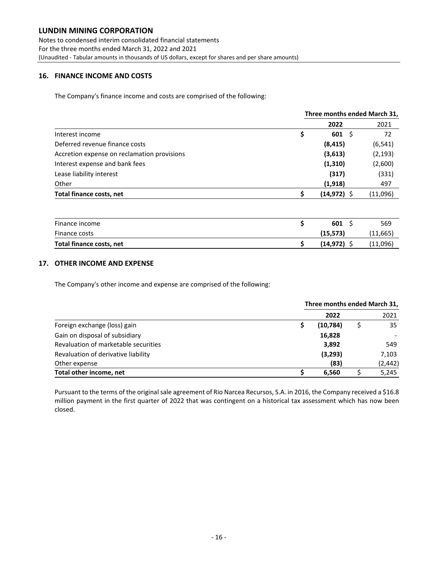Notes to condensed interim consolidated financial statements For the three months ended March 31, 2022 and 2021 (Unaudited ‐ Tabular amounts in thousands of US dollars, except for shares and per share amounts)

#### **16. FINANCE INCOME AND COSTS**

The Company's finance income and costs are comprised of the following:

|                                             | Three months ended March 31, |                |  |           |
|---------------------------------------------|------------------------------|----------------|--|-----------|
|                                             |                              | 2022           |  | 2021      |
| Interest income                             | \$                           | $601 \;$ \$    |  | 72        |
| Deferred revenue finance costs              |                              | (8, 415)       |  | (6, 541)  |
| Accretion expense on reclamation provisions |                              | (3,613)        |  | (2, 193)  |
| Interest expense and bank fees              |                              | (1, 310)       |  | (2,600)   |
| Lease liability interest                    |                              | (317)          |  | (331)     |
| Other                                       |                              | (1,918)        |  | 497       |
| Total finance costs, net                    | \$                           | $(14, 972)$ \$ |  | (11,096)  |
|                                             |                              |                |  |           |
| Finance income                              | \$                           | $601 \,$ \$    |  | 569       |
| Finance costs                               |                              | (15, 573)      |  | (11, 665) |
| Total finance costs, net                    | \$                           | $(14, 972)$ \$ |  | (11,096)  |
|                                             |                              |                |  |           |

#### **17. OTHER INCOME AND EXPENSE**

The Company's other income and expense are comprised of the following:

|                                      | Three months ended March 31, |          |  |          |
|--------------------------------------|------------------------------|----------|--|----------|
|                                      |                              | 2022     |  | 2021     |
| Foreign exchange (loss) gain         |                              | (10,784) |  | 35       |
| Gain on disposal of subsidiary       |                              | 16,828   |  |          |
| Revaluation of marketable securities |                              | 3,892    |  | 549      |
| Revaluation of derivative liability  |                              | (3, 293) |  | 7,103    |
| Other expense                        |                              | (83)     |  | (2, 442) |
| Total other income, net              |                              | 6.560    |  | 5,245    |

Pursuant to the terms of the original sale agreement of Rio Narcea Recursos, S.A. in 2016, the Company received a \$16.8 million payment in the first quarter of 2022 that was contingent on a historical tax assessment which has now been closed.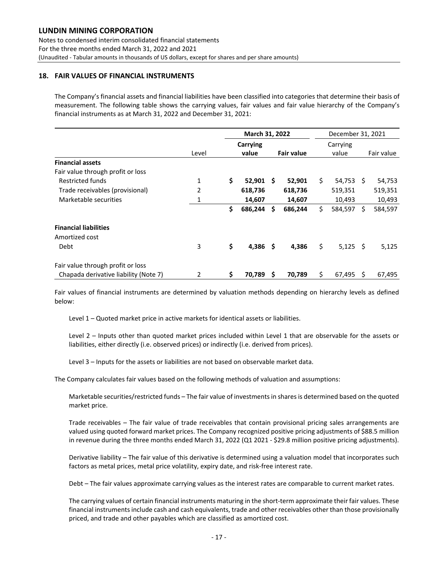Notes to condensed interim consolidated financial statements For the three months ended March 31, 2022 and 2021 (Unaudited ‐ Tabular amounts in thousands of US dollars, except for shares and per share amounts)

#### **18. FAIR VALUES OF FINANCIAL INSTRUMENTS**

The Company's financial assets and financial liabilities have been classified into categories that determine their basis of measurement. The following table shows the carrying values, fair values and fair value hierarchy of the Company's financial instruments as at March 31, 2022 and December 31, 2021:

|                                       |                | March 31, 2022 |     |                   | December 31, 2021 |   |            |
|---------------------------------------|----------------|----------------|-----|-------------------|-------------------|---|------------|
|                                       |                | Carrying       |     |                   | Carrying          |   |            |
|                                       | Level          | value          |     | <b>Fair value</b> | value             |   | Fair value |
| <b>Financial assets</b>               |                |                |     |                   |                   |   |            |
| Fair value through profit or loss     |                |                |     |                   |                   |   |            |
| Restricted funds                      | 1              | \$<br>52,901   | Ŝ   | 52,901            | \$<br>$54,753$ \$ |   | 54,753     |
| Trade receivables (provisional)       | $\overline{2}$ | 618,736        |     | 618,736           | 519,351           |   | 519,351    |
| Marketable securities                 |                | 14,607         |     | 14,607            | 10,493            |   | 10,493     |
|                                       |                | \$<br>686,244  | Ŝ   | 686,244           | \$<br>584,597     | Ś | 584,597    |
| <b>Financial liabilities</b>          |                |                |     |                   |                   |   |            |
| Amortized cost                        |                |                |     |                   |                   |   |            |
| Debt                                  | 3              | \$<br>4,386    | -\$ | 4,386             | \$<br>$5,125$ \$  |   | 5,125      |
| Fair value through profit or loss     |                |                |     |                   |                   |   |            |
| Chapada derivative liability (Note 7) | 2              | \$<br>70,789   | S   | 70,789            | \$<br>67,495      | S | 67,495     |

Fair values of financial instruments are determined by valuation methods depending on hierarchy levels as defined below:

Level 1 – Quoted market price in active markets for identical assets or liabilities.

Level 2 – Inputs other than quoted market prices included within Level 1 that are observable for the assets or liabilities, either directly (i.e. observed prices) or indirectly (i.e. derived from prices).

Level 3 – Inputs for the assets or liabilities are not based on observable market data.

The Company calculates fair values based on the following methods of valuation and assumptions:

Marketable securities/restricted funds – The fair value of investments in shares is determined based on the quoted market price.

Trade receivables – The fair value of trade receivables that contain provisional pricing sales arrangements are valued using quoted forward market prices. The Company recognized positive pricing adjustments of \$88.5 million in revenue during the three months ended March 31, 2022 (Q1 2021 ‐ \$29.8 million positive pricing adjustments).

Derivative liability – The fair value of this derivative is determined using a valuation model that incorporates such factors as metal prices, metal price volatility, expiry date, and risk‐free interest rate.

Debt – The fair values approximate carrying values as the interest rates are comparable to current market rates.

The carrying values of certain financial instruments maturing in the short‐term approximate their fair values. These financial instruments include cash and cash equivalents, trade and other receivables other than those provisionally priced, and trade and other payables which are classified as amortized cost.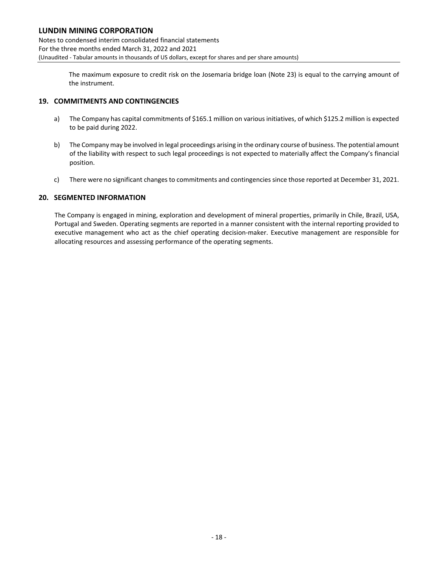Notes to condensed interim consolidated financial statements For the three months ended March 31, 2022 and 2021 (Unaudited ‐ Tabular amounts in thousands of US dollars, except for shares and per share amounts)

> The maximum exposure to credit risk on the Josemaria bridge loan (Note 23) is equal to the carrying amount of the instrument.

#### **19. COMMITMENTS AND CONTINGENCIES**

- a) The Company has capital commitments of \$165.1 million on various initiatives, of which \$125.2 million is expected to be paid during 2022.
- b) The Company may be involved in legal proceedings arising in the ordinary course of business. The potential amount of the liability with respect to such legal proceedings is not expected to materially affect the Company's financial position.
- c) There were no significant changes to commitments and contingenciessince those reported at December 31, 2021.

#### **20. SEGMENTED INFORMATION**

The Company is engaged in mining, exploration and development of mineral properties, primarily in Chile, Brazil, USA, Portugal and Sweden. Operating segments are reported in a manner consistent with the internal reporting provided to executive management who act as the chief operating decision-maker. Executive management are responsible for allocating resources and assessing performance of the operating segments.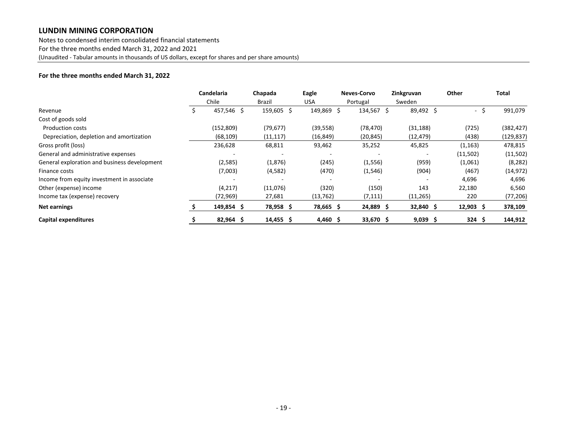Notes to condensed interim consolidated financial statements For the three months ended March 31, 2022 and 2021 (Unaudited ‐ Tabular amounts in thousands of US dollars, except for shares and per share amounts)

#### **For the three months ended March 31, 2022**

|                                              |  | <b>Candelaria</b> | Chapada     | Eagle      | <b>Neves-Corvo</b> | Zinkgruvan | Other                | Total      |
|----------------------------------------------|--|-------------------|-------------|------------|--------------------|------------|----------------------|------------|
|                                              |  | Chile             | Brazil      | <b>USA</b> | Portugal           | Sweden     |                      |            |
| Revenue                                      |  | 457,546 \$        | 159,605 \$  | 149,869 \$ | 134,567 \$         | 89,492 \$  | - \$                 | 991,079    |
| Cost of goods sold                           |  |                   |             |            |                    |            |                      |            |
| <b>Production costs</b>                      |  | (152, 809)        | (79, 677)   | (39, 558)  | (78, 470)          | (31, 188)  | (725)                | (382, 427) |
| Depreciation, depletion and amortization     |  | (68, 109)         | (11, 117)   | (16, 849)  | (20, 845)          | (12, 479)  | (438)                | (129, 837) |
| Gross profit (loss)                          |  | 236,628           | 68,811      | 93,462     | 35,252             | 45,825     | (1, 163)             | 478,815    |
| General and administrative expenses          |  |                   |             |            |                    |            | (11,502)             | (11,502)   |
| General exploration and business development |  | (2,585)           | (1,876)     | (245)      | (1,556)            | (959)      | (1,061)              | (8, 282)   |
| Finance costs                                |  | (7,003)           | (4, 582)    | (470)      | (1, 546)           | (904)      | (467)                | (14, 972)  |
| Income from equity investment in associate   |  |                   |             |            |                    |            | 4,696                | 4,696      |
| Other (expense) income                       |  | (4, 217)          | (11,076)    | (320)      | (150)              | 143        | 22,180               | 6,560      |
| Income tax (expense) recovery                |  | (72, 969)         | 27,681      | (13, 762)  | (7, 111)           | (11, 265)  | 220                  | (77, 206)  |
| <b>Net earnings</b>                          |  | 149,854 \$        | 78,958 \$   | 78,665 \$  | 24,889 \$          | 32,840 \$  | $12,903 \; \text{S}$ | 378,109    |
| Capital expenditures                         |  | $82,964$ \$       | $14,455$ \$ | $4,460$ \$ | 33,670 \$          | $9,039$ \$ | $324 \quad $5$       | 144,912    |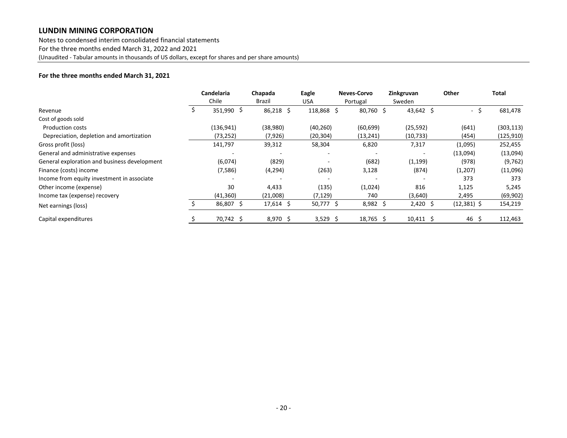Notes to condensed interim consolidated financial statements For the three months ended March 31, 2022 and 2021 (Unaudited ‐ Tabular amounts in thousands of US dollars, except for shares and per share amounts)

#### **For the three months ended March 31, 2021**

|                                              | Candelaria | Chapada     | Eagle      | <b>Neves-Corvo</b> | Zinkgruvan     | Other         | <b>Total</b> |
|----------------------------------------------|------------|-------------|------------|--------------------|----------------|---------------|--------------|
|                                              | Chile      | Brazil      | USA        | Portugal           | Sweden         |               |              |
| Revenue                                      | 351,990 \$ | $86,218$ \$ | 118,868 \$ | 80,760 \$          | 43,642 \$      | -\$           | 681,478      |
| Cost of goods sold                           |            |             |            |                    |                |               |              |
| <b>Production costs</b>                      | (136, 941) | (38,980)    | (40, 260)  | (60, 699)          | (25, 592)      | (641)         | (303, 113)   |
| Depreciation, depletion and amortization     | (73, 252)  | (7, 926)    | (20, 304)  | (13, 241)          | (10, 733)      | (454)         | (125, 910)   |
| Gross profit (loss)                          | 141,797    | 39,312      | 58,304     | 6,820              | 7,317          | (1,095)       | 252,455      |
| General and administrative expenses          |            |             |            |                    |                | (13,094)      | (13,094)     |
| General exploration and business development | (6,074)    | (829)       |            | (682)              | (1, 199)       | (978)         | (9, 762)     |
| Finance (costs) income                       | (7,586)    | (4, 294)    | (263)      | 3,128              | (874)          | (1,207)       | (11,096)     |
| Income from equity investment in associate   |            |             |            |                    |                | 373           | 373          |
| Other income (expense)                       | 30         | 4,433       | (135)      | (1,024)            | 816            | 1,125         | 5,245        |
| Income tax (expense) recovery                | (41, 360)  | (21,008)    | (7, 129)   | 740                | (3,640)        | 2,495         | (69, 902)    |
| Net earnings (loss)                          | 86,807 \$  | $17,614$ \$ | 50,777 \$  | $8,982$ \$         | $2,420$ \$     | $(12,381)$ \$ | 154,219      |
| Capital expenditures                         | 70,742 \$  | 8,970 \$    | $3,529$ \$ | 18,765 \$          | $10,411 \pm 5$ | 46 \$         | 112,463      |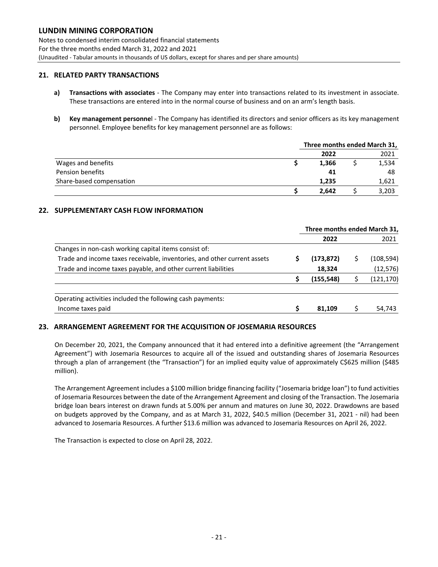Notes to condensed interim consolidated financial statements For the three months ended March 31, 2022 and 2021 (Unaudited ‐ Tabular amounts in thousands of US dollars, except for shares and per share amounts)

#### **21. RELATED PARTY TRANSACTIONS**

- **a) Transactions with associates** ‐ The Company may enter into transactions related to its investment in associate. These transactions are entered into in the normal course of business and on an arm's length basis.
- **b) Key management personne**l ‐ The Company has identified its directors and senior officers as its key management personnel. Employee benefits for key management personnel are as follows:

|                          | Three months ended March 31, |  |       |
|--------------------------|------------------------------|--|-------|
|                          | 2022                         |  | 2021  |
| Wages and benefits       | 1,366                        |  | 1,534 |
| Pension benefits         | 41                           |  | 48    |
| Share-based compensation | 1,235                        |  | 1,621 |
|                          | 2.642                        |  | 3,203 |

#### **22. SUPPLEMENTARY CASH FLOW INFORMATION**

|                                                                          | Three months ended March 31, |   |            |  |
|--------------------------------------------------------------------------|------------------------------|---|------------|--|
|                                                                          | 2022                         |   | 2021       |  |
| Changes in non-cash working capital items consist of:                    |                              |   |            |  |
| Trade and income taxes receivable, inventories, and other current assets | (173, 872)                   | s | (108, 594) |  |
| Trade and income taxes payable, and other current liabilities            | 18,324                       |   | (12, 576)  |  |
|                                                                          | (155, 548)                   |   | (121, 170) |  |
|                                                                          |                              |   |            |  |
| Operating activities included the following cash payments:               |                              |   |            |  |
| Income taxes paid                                                        | 81.109                       |   | 54,743     |  |

#### **23. ARRANGEMENT AGREEMENT FOR THE ACQUISITION OF JOSEMARIA RESOURCES**

On December 20, 2021, the Company announced that it had entered into a definitive agreement (the "Arrangement Agreement") with Josemaria Resources to acquire all of the issued and outstanding shares of Josemaria Resources through a plan of arrangement (the "Transaction") for an implied equity value of approximately C\$625 million (\$485 million).

The Arrangement Agreement includes a \$100 million bridge financing facility ("Josemaria bridge loan") to fund activities of Josemaria Resources between the date of the Arrangement Agreement and closing of the Transaction. The Josemaria bridge loan bears interest on drawn funds at 5.00% per annum and matures on June 30, 2022. Drawdowns are based on budgets approved by the Company, and as at March 31, 2022, \$40.5 million (December 31, 2021 - nil) had been advanced to Josemaria Resources. A further \$13.6 million was advanced to Josemaria Resources on April 26, 2022.

The Transaction is expected to close on April 28, 2022.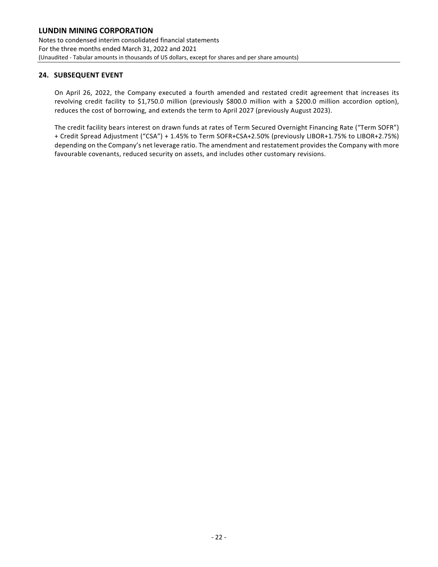#### **24. SUBSEQUENT EVENT**

On April 26, 2022, the Company executed a fourth amended and restated credit agreement that increases its revolving credit facility to \$1,750.0 million (previously \$800.0 million with a \$200.0 million accordion option), reduces the cost of borrowing, and extends the term to April 2027 (previously August 2023).

The credit facility bears interest on drawn funds at rates of Term Secured Overnight Financing Rate ("Term SOFR") + Credit Spread Adjustment ("CSA") + 1.45% to Term SOFR+CSA+2.50% (previously LIBOR+1.75% to LIBOR+2.75%) depending on the Company's net leverage ratio. The amendment and restatement provides the Company with more favourable covenants, reduced security on assets, and includes other customary revisions.